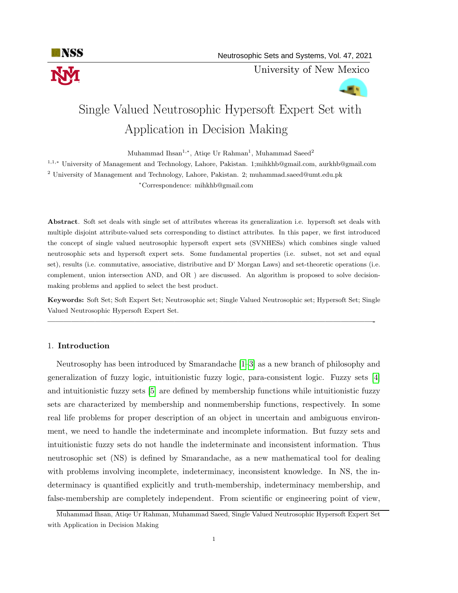

University of New Mexico

# **ALC** Single Valued Neutrosophic Hypersoft Expert Set with

# Application in Decision Making

Muhammad Ihsan<sup>1,∗</sup>, Atiqe Ur Rahman<sup>1</sup>, Muhammad Saeed<sup>2</sup>

<sup>1</sup>,1,<sup>∗</sup> University of Management and Technology, Lahore, Pakistan. 1;mihkhb@gmail.com, aurkhb@gmail.com  $^2$ University of Management and Technology, Lahore, Pakistan. 2; muhammad.saeed@umt.edu.pk <sup>∗</sup>Correspondence: mihkhb@gmail.com

Abstract. Soft set deals with single set of attributes whereas its generalization i.e. hypersoft set deals with multiple disjoint attribute-valued sets corresponding to distinct attributes. In this paper, we first introduced the concept of single valued neutrosophic hypersoft expert sets (SVNHESs) which combines single valued neutrosophic sets and hypersoft expert sets. Some fundamental properties (i.e. subset, not set and equal set), results (i.e. commutative, associative, distributive and D' Morgan Laws) and set-theoretic operations (i.e. complement, union intersection AND, and OR ) are discussed. An algorithm is proposed to solve decisionmaking problems and applied to select the best product.

Keywords: Soft Set; Soft Expert Set; Neutrosophic set; Single Valued Neutrosophic set; Hypersoft Set; Single Valued Neutrosophic Hypersoft Expert Set.

—————————————————————————————————————————-

## 1. Introduction

Neutrosophy has been introduced by Smarandache [\[1–](#page-18-0)[3\]](#page-18-1) as a new branch of philosophy and generalization of fuzzy logic, intuitionistic fuzzy logic, para-consistent logic. Fuzzy sets [\[4\]](#page-18-2) and intuitionistic fuzzy sets [\[5\]](#page-18-3) are defined by membership functions while intuitionistic fuzzy sets are characterized by membership and nonmembership functions, respectively. In some real life problems for proper description of an object in uncertain and ambiguous environment, we need to handle the indeterminate and incomplete information. But fuzzy sets and intuitionistic fuzzy sets do not handle the indeterminate and inconsistent information. Thus neutrosophic set (NS) is defined by Smarandache, as a new mathematical tool for dealing with problems involving incomplete, indeterminacy, inconsistent knowledge. In NS, the indeterminacy is quantified explicitly and truth-membership, indeterminacy membership, and false-membership are completely independent. From scientific or engineering point of view,

Muhammad Ihsan, Atiqe Ur Rahman, Muhammad Saeed, Single Valued Neutrosophic Hypersoft Expert Set with Application in Decision Making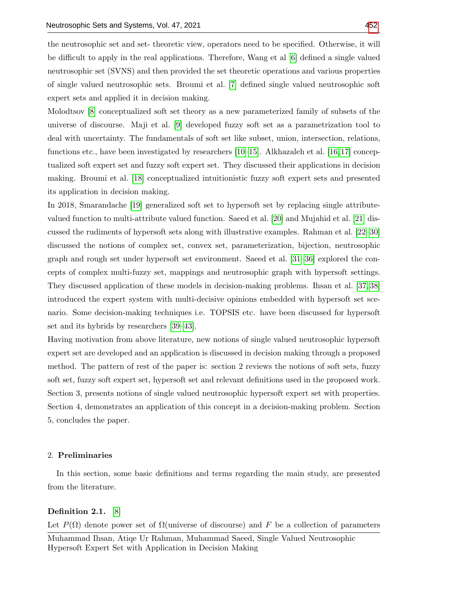the neutrosophic set and set- theoretic view, operators need to be specified. Otherwise, it will be difficult to apply in the real applications. Therefore, Wang et al [\[6\]](#page-19-0) defined a single valued neutrosophic set (SVNS) and then provided the set theoretic operations and various properties of single valued neutrosophic sets. Broumi et al. [\[7\]](#page-19-1) defined single valued neutrosophic soft expert sets and applied it in decision making.

Molodtsov [\[8\]](#page-19-2) conceptualized soft set theory as a new parameterized family of subsets of the universe of discourse. Maji et al. [\[9\]](#page-19-3) developed fuzzy soft set as a parametrization tool to deal with uncertainty. The fundamentals of soft set like subset, union, intersection, relations, functions etc., have been investigated by researchers [\[10–](#page-19-4)[15\]](#page-19-5). Alkhazaleh et al. [\[16,](#page-19-6)[17\]](#page-19-7) conceptualized soft expert set and fuzzy soft expert set. They discussed their applications in decision making. Broumi et al. [\[18\]](#page-19-8) conceptualized intuitionistic fuzzy soft expert sets and presented its application in decision making.

In 2018, Smarandache [\[19\]](#page-19-9) generalized soft set to hypersoft set by replacing single attributevalued function to multi-attribute valued function. Saeed et al. [\[20\]](#page-19-10) and Mujahid et al. [\[21\]](#page-19-11) discussed the rudiments of hypersoft sets along with illustrative examples. Rahman et al. [\[22–](#page-19-12)[30\]](#page-20-1) discussed the notions of complex set, convex set, parameterization, bijection, neutrosophic graph and rough set under hypersoft set environment. Saeed et al. [\[31–](#page-20-2)[36\]](#page-20-3) explored the concepts of complex multi-fuzzy set, mappings and neutrosophic graph with hypersoft settings. They discussed application of these models in decision-making problems. Ihsan et al. [\[37,](#page-20-4) [38\]](#page-20-5) introduced the expert system with multi-decisive opinions embedded with hypersoft set scenario. Some decision-making techniques i.e. TOPSIS etc. have been discussed for hypersoft set and its hybrids by researchers [\[39–](#page-20-6)[43\]](#page-20-7).

Having motivation from above literature, new notions of single valued neutrosophic hypersoft expert set are developed and an application is discussed in decision making through a proposed method. The pattern of rest of the paper is: section 2 reviews the notions of soft sets, fuzzy soft set, fuzzy soft expert set, hypersoft set and relevant definitions used in the proposed work. Section 3, presents notions of single valued neutrosophic hypersoft expert set with properties. Section 4, demonstrates an application of this concept in a decision-making problem. Section 5, concludes the paper.

#### 2. Preliminaries

In this section, some basic definitions and terms regarding the main study, are presented from the literature.

#### Definition 2.1. [\[8\]](#page-19-2)

Let  $P(\Omega)$  denote power set of  $\Omega$ (universe of discourse) and F be a collection of parameters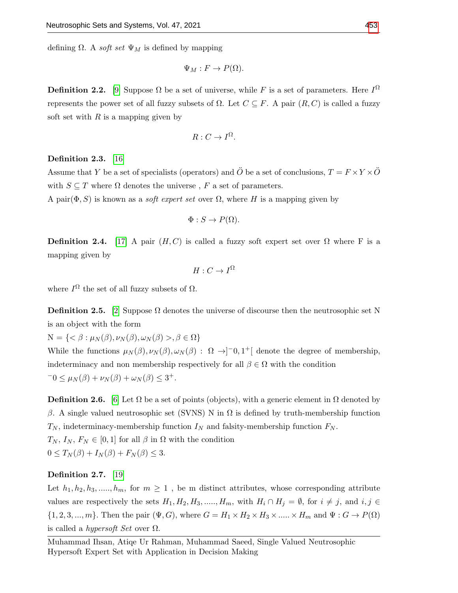defining  $\Omega$ . A *soft set*  $\Psi_M$  is defined by mapping

$$
\Psi_M: F \to P(\Omega).
$$

**Definition 2.2.** [\[9\]](#page-19-3) Suppose  $\Omega$  be a set of universe, while F is a set of parameters. Here  $I^{\Omega}$ represents the power set of all fuzzy subsets of  $Ω$ . Let  $C \subseteq F$ . A pair  $(R, C)$  is called a fuzzy soft set with  $R$  is a mapping given by

$$
R: C \to I^{\Omega}.
$$

#### Definition 2.3. [\[16\]](#page-19-6)

Assume that Y be a set of specialists (operators) and  $\ddot{O}$  be a set of conclusions,  $T = F \times Y \times \ddot{O}$ with  $S \subseteq T$  where  $\Omega$  denotes the universe, F a set of parameters.

A pair $(\Phi, S)$  is known as a *soft expert set* over  $\Omega$ , where H is a mapping given by

$$
\Phi: S \to P(\Omega).
$$

**Definition 2.4.** [\[17\]](#page-19-7) A pair  $(H, C)$  is called a fuzzy soft expert set over  $\Omega$  where F is a mapping given by

$$
H:C\to I^{\Omega}
$$

where  $I^{\Omega}$  the set of all fuzzy subsets of  $\Omega$ .

**Definition 2.5.** [\[2\]](#page-18-4) Suppose  $\Omega$  denotes the universe of discourse then the neutrosophic set N is an object with the form

 $N = \{ \langle \beta : \mu_N(\beta), \nu_N(\beta), \omega_N(\beta) \rangle, \beta \in \Omega \}$ 

While the functions  $\mu_N(\beta), \nu_N(\beta), \omega_N(\beta)$  :  $\Omega \to ]-0,1^+[$  denote the degree of membership, indeterminacy and non membership respectively for all  $\beta \in \Omega$  with the condition  $-0 \leq \mu_N(\beta) + \nu_N(\beta) + \omega_N(\beta) \leq 3^+.$ 

**Definition 2.6.** [\[6\]](#page-19-0) Let  $\Omega$  be a set of points (objects), with a generic element in  $\Omega$  denoted by β. A single valued neutrosophic set (SVNS) N in  $\Omega$  is defined by truth-membership function  $T_N$ , indeterminacy-membership function  $I_N$  and falsity-membership function  $F_N$ .  $T_N$ ,  $I_N$ ,  $F_N \in [0,1]$  for all  $\beta$  in  $\Omega$  with the condition  $0 \leq T_N(\beta) + I_N(\beta) + F_N(\beta) \leq 3.$ 

#### Definition 2.7. [\[19\]](#page-19-9)

Let  $h_1, h_2, h_3, \ldots, h_m$ , for  $m \geq 1$ , be m distinct attributes, whose corresponding attribute values are respectively the sets  $H_1, H_2, H_3, \ldots, H_m$ , with  $H_i \cap H_j = \emptyset$ , for  $i \neq j$ , and  $i, j \in$  $\{1, 2, 3, \ldots, m\}$ . Then the pair  $(\Psi, G)$ , where  $G = H_1 \times H_2 \times H_3 \times \ldots \times H_m$  and  $\Psi : G \to P(\Omega)$ is called a *hypersoft Set* over  $\Omega$ .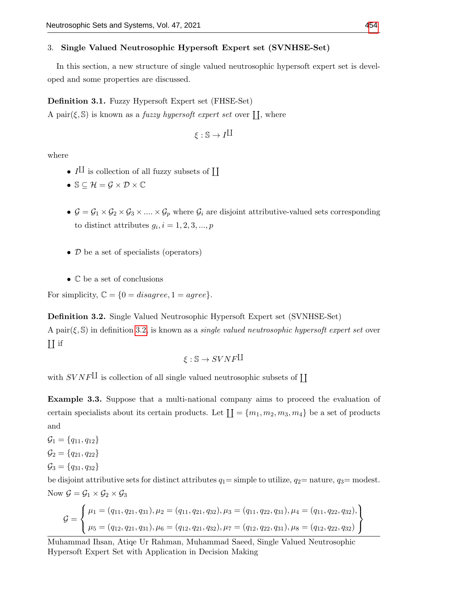#### 3. Single Valued Neutrosophic Hypersoft Expert set (SVNHSE-Set)

In this section, a new structure of single valued neutrosophic hypersoft expert set is developed and some properties are discussed.

#### Definition 3.1. Fuzzy Hypersoft Expert set (FHSE-Set)

A pair $(\xi, \mathbb{S})$  is known as a *fuzzy hypersoft expert set* over  $\prod$ , where

$$
\xi:\mathbb{S}\to I^{\coprod}
$$

where

- $I^{\text{II}}$  is collection of all fuzzy subsets of  $\text{II}$
- $\mathbb{S} \subseteq \mathcal{H} = \mathcal{G} \times \mathcal{D} \times \mathbb{C}$
- $G = G_1 \times G_2 \times G_3 \times \ldots \times G_p$  where  $G_i$  are disjoint attributive-valued sets corresponding to distinct attributes  $g_i$ ,  $i = 1, 2, 3, ..., p$
- D be a set of specialists (operators)
- C be a set of conclusions

For simplicity,  $\mathbb{C} = \{0 = disagree, 1 = agree\}.$ 

<span id="page-3-0"></span>Definition 3.2. Single Valued Neutrosophic Hypersoft Expert set (SVNHSE-Set) A pair( $\xi$ , S) in definition [3.2,](#page-3-0) is known as a *single valued neutrosophic hypersoft expert set* over  $\prod$  if

$$
\xi: \mathbb{S} \to SVNF^{\coprod}
$$

with  $SVNF^{\text{II}}$  is collection of all single valued neutrosophic subsets of  $\text{II}$ 

<span id="page-3-1"></span>Example 3.3. Suppose that a multi-national company aims to proceed the evaluation of certain specialists about its certain products. Let  $\prod = \{m_1, m_2, m_3, m_4\}$  be a set of products and

 $\mathcal{G}_1 = \{q_{11}, q_{12}\}$  $\mathcal{G}_2 = \{q_{21}, q_{22}\}\$  $\mathcal{G}_3 = \{q_{31}, q_{32}\}\$ 

be disjoint attributive sets for distinct attributes  $q_1 =$  simple to utilize,  $q_2 =$  nature,  $q_3 =$  modest. Now  $\mathcal{G} = \mathcal{G}_1 \times \mathcal{G}_2 \times \mathcal{G}_3$ 

$$
G = \left\{\n\begin{aligned}\n\mu_1 &= (q_{11}, q_{21}, q_{31}), \mu_2 = (q_{11}, q_{21}, q_{32}), \mu_3 = (q_{11}, q_{22}, q_{31}), \mu_4 = (q_{11}, q_{22}, q_{32}), \\
\mu_5 &= (q_{12}, q_{21}, q_{31}), \mu_6 = (q_{12}, q_{21}, q_{32}), \mu_7 = (q_{12}, q_{22}, q_{31}), \mu_8 = (q_{12}, q_{22}, q_{32})\n\end{aligned}\n\right\}
$$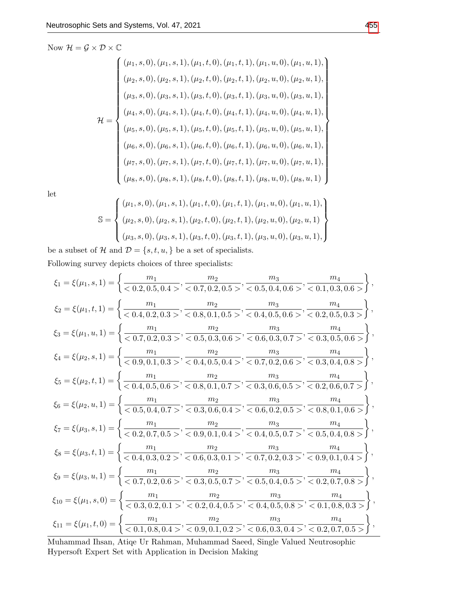Now  $\mathcal{H} = \mathcal{G} \times \mathcal{D} \times \mathbb{C}$ 

$$
\mathcal{H} = \begin{cases}\n(\mu_1, s, 0), (\mu_1, s, 1), (\mu_1, t, 0), (\mu_1, t, 1), (\mu_1, u, 0), (\mu_1, u, 1), \\
(\mu_2, s, 0), (\mu_2, s, 1), (\mu_2, t, 0), (\mu_2, t, 1), (\mu_2, u, 0), (\mu_2, u, 1), \\
(\mu_3, s, 0), (\mu_3, s, 1), (\mu_3, t, 0), (\mu_3, t, 1), (\mu_3, u, 0), (\mu_3, u, 1), \\
(\mu_4, s, 0), (\mu_4, s, 1), (\mu_4, t, 0), (\mu_4, t, 1), (\mu_4, u, 0), (\mu_4, u, 1), \\
(\mu_5, s, 0), (\mu_5, s, 1), (\mu_5, t, 0), (\mu_5, t, 1), (\mu_5, u, 0), (\mu_5, u, 1), \\
(\mu_6, s, 0), (\mu_6, s, 1), (\mu_6, t, 0), (\mu_6, t, 1), (\mu_6, u, 0), (\mu_6, u, 1), \\
(\mu_8, s, 0), (\mu_8, s, 1), (\mu_8, t, 0), (\mu_8, t, 1), (\mu_8, u, 0), (\mu_8, u, 1)\n\end{cases}
$$

let

$$
\mathbb{S} = \left\{ \begin{aligned} &(\mu_1, s, 0), (\mu_1, s, 1), (\mu_1, t, 0), (\mu_1, t, 1), (\mu_1, u, 0), (\mu_1, u, 1), \\ &(\mu_2, s, 0), (\mu_2, s, 1), (\mu_2, t, 0), (\mu_2, t, 1), (\mu_2, u, 0), (\mu_2, u, 1) \\ &(\mu_3, s, 0), (\mu_3, s, 1), (\mu_3, t, 0), (\mu_3, t, 1), (\mu_3, u, 0), (\mu_3, u, 1), \end{aligned} \right\}
$$

be a subset of  $\mathcal H$  and  $\mathcal D = \{s,t,u,\}$  be a set of specialists.

Following survey depicts choices of three specialists:

$$
\xi_1 = \xi(\mu_1, s, 1) = \left\{ \frac{m_1}{<0.2, 0.5, 0.4>} , \frac{m_2}{<0.7, 0.2, 0.5>} , \frac{m_3}{<0.5, 0.4, 0.6>} , \frac{m_4}{<0.1, 0.3, 0.6>} \right\},
$$
\n
$$
\xi_2 = \xi(\mu_1, t, 1) = \left\{ \frac{m_1}{<0.4, 0.2, 0.3>} , \frac{m_2}{<0.8, 0.1, 0.5>} , \frac{m_3}{<0.4, 0.5, 0.6>} , \frac{m_4}{<0.2, 0.5, 0.3>} \right\},
$$
\n
$$
\xi_3 = \xi(\mu_1, u, 1) = \left\{ \frac{m_1}{<0.7, 0.2, 0.3>} , \frac{m_2}{<0.8, 0.1, 0.5>} , \frac{m_3}{<0.4, 0.5, 0.6>} , \frac{m_4}{<0.2, 0.5, 0.3} \right\},
$$
\n
$$
\xi_4 = \xi(\mu_2, s, 1) = \left\{ \frac{m_1}{<0.9, 0.1, 0.3>} , \frac{m_2}{<0.5, 0.3, 0.6>} , \frac{m_3}{<0.6, 0.3, 0.7>} , \frac{m_4}{<0.3, 0.5, 0.6>} \right\},
$$
\n
$$
\xi_5 = \xi(\mu_2, t, 1) = \left\{ \frac{m_1}{<0.4, 0.5, 0.6>} , \frac{m_2}{<0.4, 0.5, 0.4>} , \frac{m_3}{<0.7, 0.2, 0.6>} , \frac{m_4}{<0.3, 0.4, 0.8>} \right\},
$$
\n
$$
\xi_6 = \xi(\mu_2, t, 1) = \left\{ \frac{m_1}{<0.4, 0.5, 0.6>} , \frac{m_2}{<0.8, 0.1, 0.7>} , \frac{m_3}{<0.3, 0.6, 0.5>} , \frac{m_4}{<0.2, 0.6, 0.7>} \right\},
$$
\n
$$
\xi_6
$$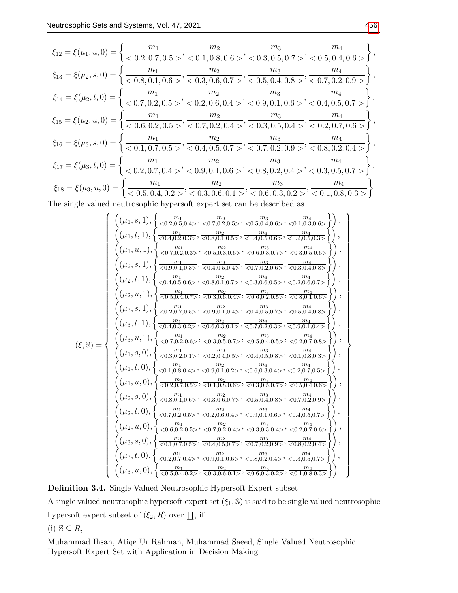$$
\xi_{12} = \xi(\mu_1, u, 0) = \left\{ \frac{m_1}{< 0.2, 0.7, 0.5>} , \frac{m_2}{< 0.1, 0.8, 0.6>} , \frac{m_3}{< 0.3, 0.5, 0.7>} , \frac{m_4}{< 0.5, 0.4, 0.6>} \right\},
$$
  
\n
$$
\xi_{13} = \xi(\mu_2, s, 0) = \left\{ \frac{m_1}{< 0.8, 0.1, 0.6>} , \frac{m_2}{< 0.3, 0.6, 0.7>} , \frac{m_3}{< 0.5, 0.4, 0.8>} , \frac{m_4}{< 0.7, 0.2, 0.9>} \right\},
$$
  
\n
$$
\xi_{14} = \xi(\mu_2, t, 0) = \left\{ \frac{m_1}{< 0.7, 0.2, 0.5>} , \frac{m_2}{< 0.2, 0.6, 0.4>} , \frac{m_3}{< 0.9, 0.1, 0.6>} , \frac{m_4}{< 0.7, 0.2, 0.9>} \right\},
$$
  
\n
$$
\xi_{15} = \xi(\mu_2, u, 0) = \left\{ \frac{m_1}{< 0.6, 0.2, 0.5>} , \frac{m_2}{< 0.7, 0.2, 0.4>} , \frac{m_3}{< 0.9, 0.1, 0.6>} , \frac{m_4}{< 0.4, 0.5, 0.7>} \right\},
$$
  
\n
$$
\xi_{16} = \xi(\mu_3, s, 0) = \left\{ \frac{m_1}{< 0.1, 0.7, 0.5>} , \frac{m_2}{< 0.4, 0.5, 0.7>} , \frac{m_3}{< 0.3, 0.5, 0.4>} , \frac{m_4}{< 0.2, 0.7, 0.6>} \right\},
$$
  
\n
$$
\xi_{17} = \xi(\mu_3, t, 0) = \left\{ \frac{m_1}{< 0.2, 0.7, 0.4>} , \frac{m_2}{< 0.9, 0.1, 0.6>} , \frac{m_3}{< 0.3, 0.5,
$$

The single valued neutrosophic hypersoft expert set can be described as

(ξ, S) = (µ1, s, 1), n m<sup>1</sup> <0.2,0.5,0.4> , m<sup>2</sup> <0.7,0.2,0.5> , m<sup>3</sup> <0.5,0.4,0.6> , m<sup>4</sup> <0.1,0.3,0.6> o , (µ1, t, 1), n m<sup>1</sup> <0.4,0.2,0.3> , m<sup>2</sup> <0.8,0.1,0.5> , m<sup>3</sup> <0.4,0.5,0.6> , m<sup>4</sup> <0.2,0.5,0.3> o , (µ1, u, 1), n m<sup>1</sup> <0.7,0.2,0.3> , m<sup>2</sup> <0.5,0.3,0.6> , m<sup>3</sup> <0.6,0.3,0.7> , m<sup>4</sup> <0.3,0.5,0.6> o , (µ2, s, 1), n m<sup>1</sup> <0.9,0.1,0.3> , m<sup>2</sup> <0.4,0.5,0.4> , m<sup>3</sup> <0.7,0.2,0.6> , m<sup>4</sup> <0.3,0.4,0.8> o , (µ2, t, 1), n m<sup>1</sup> <0.4,0.5,0.6> , m<sup>2</sup> <0.8,0.1,0.7> , m<sup>3</sup> <0.3,0.6,0.5> , m<sup>4</sup> <0.2,0.6,0.7> o , (µ2, u, 1), n m<sup>1</sup> <0.5,0.4,0.7> , m<sup>2</sup> <0.3,0.6,0.4> , m<sup>3</sup> <0.6,0.2,0.5> , m<sup>4</sup> <0.8,0.1,0.6> o , (µ3, s, 1), n m<sup>1</sup> <0.2,0.7,0.5> , m<sup>2</sup> <0.9,0.1,0.4> , m<sup>3</sup> <0.4,0.5,0.7> , m<sup>4</sup> <0.5,0.4,0.8> o , (µ3, t, 1), n m<sup>1</sup> <0.4,0.3,0.2> , m<sup>2</sup> <0.6,0.3,0.1> , m<sup>3</sup> <0.7,0.2,0.3> , m<sup>4</sup> <0.9,0.1,0.4> o , (µ3, u, 1), n m<sup>1</sup> <0.7,0.2,0.6> , m<sup>2</sup> <0.3,0.5,0.7> , m<sup>3</sup> <0.5,0.4,0.5> , m<sup>4</sup> <0.2,0.7,0.8> o , (µ1, s, 0), n m<sup>1</sup> <0.3,0.2,0.1> , m<sup>2</sup> <0.2,0.4,0.5> , m<sup>3</sup> <0.4,0.5,0.8> , m<sup>4</sup> <0.1,0.8,0.3> o , (µ1, t, 0), n m<sup>1</sup> <0.1,0.8,0.4> , m<sup>2</sup> <0.9,0.1,0.2> , m<sup>3</sup> <0.6,0.3,0.4> , m<sup>4</sup> <0.2,0.7,0.5> o , (µ1, u, 0), n m<sup>1</sup> <0.2,0.7,0.5> , m<sup>2</sup> <0.1,0.8,0.6> , m<sup>3</sup> <0.3,0.5,0.7> , m<sup>4</sup> <0.5,0.4,0.6> o , (µ2, s, 0), n m<sup>1</sup> <0.8,0.1,0.6> , m<sup>2</sup> <0.3,0.6,0.7> , m<sup>3</sup> <0.5,0.4,0.8> , m<sup>4</sup> <0.7,0.2,0.9> o , (µ2, t, 0), n m<sup>1</sup> <0.7,0.2,0.5> , m<sup>2</sup> <0.2,0.6,0.4> , m<sup>3</sup> <0.9,0.1,0.6> , m<sup>4</sup> <0.4,0.5,0.7> o , (µ2, u, 0), n m<sup>1</sup> <0.6,0.2,0.5> , m<sup>2</sup> <0.7,0.2,0.4> , m<sup>3</sup> <0.3,0.5,0.4> , m<sup>4</sup> <0.2,0.7,0.6> o , (µ3, s, 0), n m<sup>1</sup> <0.1,0.7,0.5> , m<sup>2</sup> <0.4,0.5,0.7> , m<sup>3</sup> <0.7,0.2,0.9> , m<sup>4</sup> <0.8,0.2,0.4> o , (µ3, t, 0), n m<sup>1</sup> <0.2,0.7,0.4> , m<sup>2</sup> <0.9,0.1,0.6> , m<sup>3</sup> <0.8,0.2,0.4> , m<sup>4</sup> <0.3,0.5,0.7> o , (µ3, u, 0), n m<sup>1</sup> <0.5,0.4,0.2> , m<sup>2</sup> <0.3,0.6,0.1> , m<sup>3</sup> <0.6,0.3,0.2> , m<sup>4</sup> <0.1,0.8,0.3> o 

Definition 3.4. Single Valued Neutrosophic Hypersoft Expert subset

A single valued neutrosophic hypersoft expert set  $(\xi_1, \mathbb{S})$  is said to be single valued neutrosophic hypersoft expert subset of  $(\xi_2, R)$  over  $\coprod$ , if

$$
(i) S \subseteq R,
$$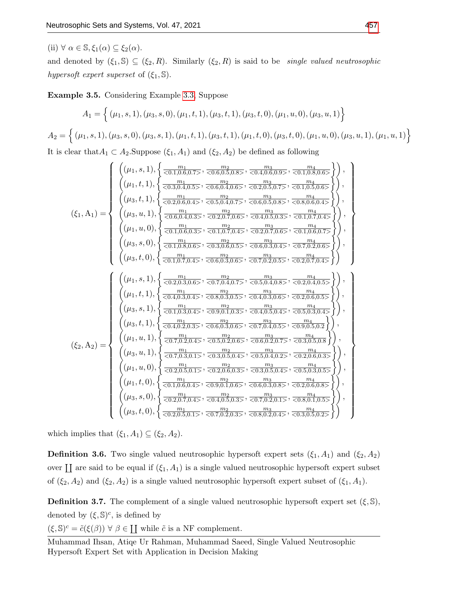(ii)  $\forall \alpha \in \mathbb{S}, \xi_1(\alpha) \subseteq \xi_2(\alpha)$ .

and denoted by  $(\xi_1, \mathbb{S}) \subseteq (\xi_2, R)$ . Similarly  $(\xi_2, R)$  is said to be *single valued neutrosophic* hypersoft expert superset of  $(\xi_1, \mathbb{S})$ .

Example 3.5. Considering Example [3.3,](#page-3-1) Suppose

$$
A_1 = \left\{ (\mu_1, s, 1), (\mu_3, s, 0), (\mu_1, t, 1), (\mu_3, t, 1), (\mu_3, t, 0), (\mu_1, u, 0), (\mu_3, u, 1) \right\}
$$
  
\n
$$
A_2 = \left\{ (\mu_1, s, 1), (\mu_3, s, 0), (\mu_3, s, 1), (\mu_1, t, 1), (\mu_3, t, 1), (\mu_1, t, 0), (\mu_3, t, 0), (\mu_1, u, 0), (\mu_3, u, 1), (\mu_1, u, 1) \right\}
$$
  
\nIt is clear that  $A_1 \subset A_2$ . Suppose  $(\xi_1, A_1)$  and  $(\xi_2, A_2)$  be defined as following

$$
\left(\left(\mu_{1},s,1\right),\left\{\frac{m_{1}}{<0.3,0.4\text{, }5\text{, }5\text{, }7\text{, }60.5,0.5\text{, }5\text{, }7\text{, }7\text{, }60.5\text{, }50.5\text{, }7\text{, }7\text{, }8\text{, }9\text{, }9\text{, }9\text{, }9\text{, }9\text{, }9\text{, }9\text{, }9\text{, }9\text{, }9\text{, }9\text{, }9\text{, }9\text{, }9\text{, }9\text{, }9\text{, }9\text{, }9\text{, }9\text{, }9\text{, }9\text{, }9\text{, }9\text{, }9\text{, }9\text{, }9\text{, }9\text{, }9\text{, }9\text{, }9\text{, }9\text{, }9\text{, }9\text{, }9\text{, }9\text{, }9\text{, }9\text{, }9\text{, }9\text{, }9\text{, }9\text{, }9\text{, }9\text{, }9\text{, }9\text{, }9\text{, }9\text{, }9\text{, }9\text{, }9\text{, }9\text{, }9\text{, }9\text{, }9\text{, }9\text{, }9\text{, }9\text{, }9\text{, }9\text{, }9\text{, }9\text{, }9\text{, }9\text{, }9\text{, }9\text{, }9\text{, }9\text{, }9\text{, }9\text{, }9\text{, }9\text{, }9\text{, }9\text{, }9\text{, }9\text{, }9\text{, }9\text{, }9\text{, }9\text{, }9\text{, }9\text{, }9\text{, }9\text{, }9\text{, }9\text{, }9\text{, }9\text{, }9\text{, }9\text{, }9\text{, }9\text{, }9\text{, }9\text{, }9\text{, }9\text{, }9\text{, }9\text{, }9\text{, }9\text{, }9\text{, }9\text{, }9\text{, }9\text{, }9\text{, }9\text{, }9\text{, }
$$

which implies that  $(\xi_1, A_1) \subseteq (\xi_2, A_2)$ .

**Definition 3.6.** Two single valued neutrosophic hypersoft expert sets  $(\xi_1, A_1)$  and  $(\xi_2, A_2)$ over  $\coprod$  are said to be equal if  $(\xi_1, A_1)$  is a single valued neutrosophic hypersoft expert subset of  $(\xi_2, A_2)$  and  $(\xi_2, A_2)$  is a single valued neutrosophic hypersoft expert subset of  $(\xi_1, A_1)$ .

**Definition 3.7.** The complement of a single valued neutrosophic hypersoft expert set  $(\xi, \mathbb{S})$ , denoted by  $(\xi, \mathbb{S})^c$ , is defined by

 $(\xi, \mathbb{S})^c = \tilde{c}(\xi(\beta)) \ \forall \ \beta \in \coprod$  while  $\tilde{c}$  is a NF complement.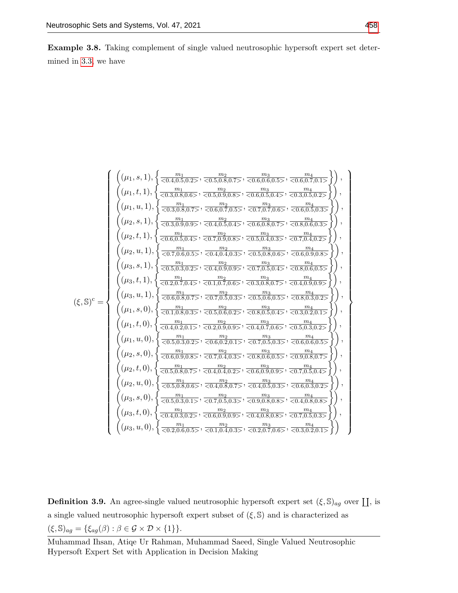Example 3.8. Taking complement of single valued neutrosophic hypersoft expert set determined in [3.3,](#page-3-1) we have

$$
\begin{pmatrix}\n(\mu_1, s, 1), \n\begin{cases}\n\frac{m_1}{<0.4, 0.5, 0.2>, \n\end{cases}, \n\frac{m_2}{<0.5, 0.8, 0.5, \n\end{cases}, \n\frac{m_3}{<0.6, 0.5, 0.5, \n\end{pmatrix}, \\
(\mu_1, t, 1), \n\begin{cases}\n\frac{m_1}{<0.3, 0.8, 0.6, \n\end{cases}, \n\frac{m_2}{<0.6, 0.7, 0.5, \n\end{cases}, \n\frac{m_3}{<0.7, 0.7, 0.5, \n\end{cases}, \n\frac{m_1}{<0.7, 0.6, \n\end{cases}, \n\frac{m_2}{<0.6, 0.7, 0.5, \n\end{pmatrix}, \\
(\mu_2, s, 1), \n\begin{cases}\n\frac{m_1}{<0.3, 0.9, 0.9}, \n\frac{m_2}{<0.4, 0.5, 0.4, \n\end{cases}, \n\frac{m_3}{<0.6, 0.8, 0.7, \n\end{cases}, \n\frac{m_4}{<0.6, 0.5, 0.3, \n\end{cases}, \n\frac{m_5}{<0.7, 0.9, 0.8, \n\end{pmatrix}, \\
(\mu_2, t, 1), \n\begin{cases}\n\frac{m_1}{<0.7, 0.6, 0.5}, \n\frac{m_2}{<0.4, 0.5, 0.4, \n\end{cases}, \n\frac{m_3}{<0.5, 0.4, 0.3, \n\end{cases}, \n\frac{m_3}{<0.5, 0.8, 0.7, \n\end{pmatrix}, \n\frac{m_4}{<0.7, 0.6, 0.5, \n\end{pmatrix}, \n\frac{m_5}{<0.7, 0.6, 0.5, \n\end{pmatrix}, \n\frac{m_6}{<0.7, 0.6, 0.5, \n\end{pmatrix}, \n\frac{m_7}{<0.7, 0.6, 0.5, \n\end{pmatrix}, \n\frac{m_8}{<0.7, 0.6, 0.5, \n\end{cases}, \n\frac{m_9}{<0.5,
$$

**Definition 3.9.** An agree-single valued neutrosophic hypersoft expert set  $(\xi, \mathbb{S})_{ag}$  over  $\prod$ , is a single valued neutrosophic hypersoft expert subset of  $(\xi, \mathbb{S})$  and is characterized as  $(\xi, \mathbb{S})_{ag} = \{\xi_{ag}(\beta) : \beta \in \mathcal{G} \times \mathcal{D} \times \{1\}\}.$ 

Muhammad Ihsan, Atiqe Ur Rahman, Muhammad Saeed, Single Valued Neutrosophic Hypersoft Expert Set with Application in Decision Making

 $\mathcal{L}$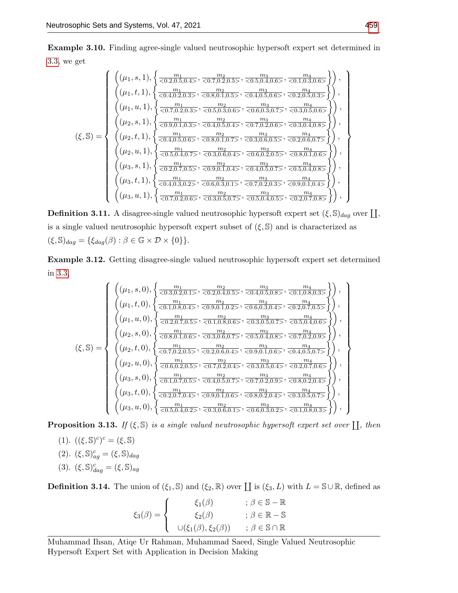Example 3.10. Finding agree-single valued neutrosophic hypersoft expert set determined in [3.3,](#page-3-1) we get

$$
\begin{pmatrix}\n(\mu_1, s, 1), \n\begin{Bmatrix}\n\frac{m_1}{\langle 0.2, 0.5, 0.4 \rangle}, \n\frac{m_2}{\langle 0.7, 0.2, 0.5 \rangle}, \n\frac{m_3}{\langle 0.5, 0.4, 0.6 \rangle}, \n\frac{m_4}{\langle 0.1, 0.3, 0.6 \rangle}\n\end{Bmatrix}, \\
(\mu_1, t, 1), \n\begin{Bmatrix}\n\frac{m_1}{\langle 0.4, 0.2, 0.3 \rangle}, \n\frac{m_2}{\langle 0.8, 0.1, 0.5 \rangle}, \n\frac{m_3}{\langle 0.4, 0.5, 0.6 \rangle}, \n\frac{m_4}{\langle 0.2, 0.5, 0.3 \rangle}\n\end{Bmatrix}, \\
(\mu_1, u, 1), \n\begin{Bmatrix}\n\frac{m_1}{\langle 0.7, 0.2, 0.3 \rangle}, \n\frac{m_2}{\langle 0.5, 0.3, 0.6 \rangle}, \n\frac{m_3}{\langle 0.6, 0.3, 0.7 \rangle}, \n\frac{m_4}{\langle 0.2, 0.5, 0.5 \rangle}\n\end{Bmatrix}, \\
(\mu_2, s, 1), \n\begin{Bmatrix}\n\frac{m_1}{\langle 0.7, 0.2, 0.3 \rangle}, \n\frac{m_2}{\langle 0.5, 0.3, 0.6 \rangle}, \n\frac{m_3}{\langle 0.6, 0.3, 0.7 \rangle}, \n\frac{m_4}{\langle 0.7, 0.2, 0.6 \rangle}, \n\frac{m_4}{\langle 0.3, 0.4, 0.8 \rangle}\n\end{Bmatrix}\n\end{pmatrix}, \\
(\mu_2, t, 1), \n\begin{Bmatrix}\n\frac{m_1}{\langle 0.4, 0.5, 0.6 \rangle}, \n\frac{m_2}{\langle 0.8, 0.1, 0.7 \rangle}, \n\frac{m_3}{\langle 0.3, 0.6, 0.5 \rangle}, \n\frac{m_4}{\langle 0.2, 0.6, 0.2, 0.5 \rangle}\n\end{Bmatrix}\n\end{pmatrix}, \\
(\mu_2, t, 1), \n\begin{Bmatrix}\n\frac
$$

**Definition 3.11.** A disagree-single valued neutrosophic hypersoft expert set  $(\xi, \mathbb{S})_{dag}$  over  $\prod$ , is a single valued neutrosophic hypersoft expert subset of  $(\xi, \mathbb{S})$  and is characterized as  $(\xi, \mathbb{S})_{dag} = \{\xi_{dag}(\beta) : \beta \in \mathbb{G} \times \mathcal{D} \times \{0\}\}.$ 

Example 3.12. Getting disagree-single valued neutrosophic hypersoft expert set determined in [3.3,](#page-3-1)

$$
\begin{pmatrix}\n(\mu_1, s, 0), \n\begin{Bmatrix}\n\frac{m_1}{\langle 0.3, 0.2, 0.1, \rangle}, \n\frac{m_2}{\langle 0.2, 0.4, 0.5, \rangle}, \n\frac{m_3}{\langle 0.4, 0.5, 0.8, \rangle}, \n\frac{m_4}{\langle 0.1, 0.8, 0.3, \rangle}\n\end{Bmatrix}\n\end{pmatrix}, \\
(\mu_1, t, 0), \n\begin{Bmatrix}\n\frac{m_1}{\langle 0.1, 0.8, 0.4, \rangle}, \n\frac{m_2}{\langle 0.9, 0.1, 0.2, \rangle}, \n\frac{m_3}{\langle 0.6, 0.3, 0.4, \rangle}, \n\frac{m_4}{\langle 0.2, 0.7, 0.5, \rangle}\n\end{Bmatrix}\n\end{pmatrix}, \\
(\mu_1, u, 0), \n\begin{Bmatrix}\n\frac{m_1}{\langle 0.2, 0.7, 0.5, \rangle}, \n\frac{m_2}{\langle 0.1, 0.8, 0.6, \rangle}, \n\frac{m_3}{\langle 0.3, 0.5, 0.7, \rangle}, \n\frac{m_4}{\langle 0.3, 0.5, 0.7, \rangle}, \n\frac{m_4}{\langle 0.5, 0.4, 0.8, \rangle}\n\end{Bmatrix}\n\end{pmatrix}, \\
(\xi, S) = \n\begin{Bmatrix}\n(\mu_2, t, 0), \n\begin{Bmatrix}\n\frac{m_1}{\langle 0.7, 0.2, 0.5, \rangle}, \n\frac{m_2}{\langle 0.2, 0.6, 0.4, \rangle}, \n\frac{m_2}{\langle 0.3, 0.6, 0.7, \rangle}, \n\frac{m_3}{\langle 0.3, 0.4, 0.8, \rangle}, \n\frac{m_4}{\langle 0.7, 0.2, 0.9, \rangle}\n\end{Bmatrix}\n\end{pmatrix}, \\
(\mu_2, u, 0), \n\begin{Bmatrix}\n\frac{m_1}{\langle 0.7, 0.2, 0.5, \rangle}, \n\frac{m_2}{\langle 0.2, 0.6, 0.4, \rangle}, \n\frac{m_3}{\langle 0
$$

**Proposition 3.13.** If  $(\xi, \mathbb{S})$  is a single valued neutrosophic hypersoft expert set over  $\prod$ , then

- (1).  $((\xi, \mathbb{S})^c)^c = (\xi, \mathbb{S})$ (2).  $(\xi, \mathbb{S})^c_{ag} = (\xi, \mathbb{S})_{dag}$
- (3).  $(\xi, \mathbb{S})^c_{dag} = (\xi, \mathbb{S})_{ag}$

**Definition 3.14.** The union of  $(\xi_1, \mathbb{S})$  and  $(\xi_2, \mathbb{R})$  over  $\coprod$  is  $(\xi_3, L)$  with  $L = \mathbb{S} \cup \mathbb{R}$ , defined as

$$
\xi_3(\beta) = \begin{cases}\n\xi_1(\beta) & ; \beta \in \mathbb{S} - \mathbb{R} \\
\xi_2(\beta) & ; \beta \in \mathbb{R} - \mathbb{S} \\
\cup(\xi_1(\beta), \xi_2(\beta)) & ; \beta \in \mathbb{S} \cap \mathbb{R}\n\end{cases}
$$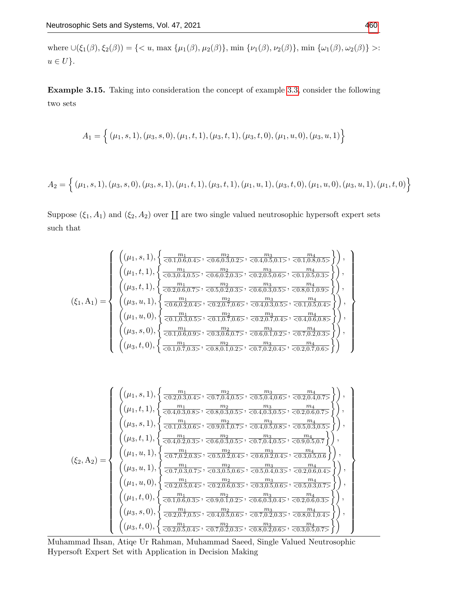where  $\cup(\xi_1(\beta),\xi_2(\beta)) = \{ \langle u, \max \{\mu_1(\beta), \mu_2(\beta)\}, \min \{\nu_1(\beta), \nu_2(\beta)\}, \min \{\omega_1(\beta), \omega_2(\beta)\} \rangle$ :  $u \in U$ .

Example 3.15. Taking into consideration the concept of example [3.3,](#page-3-1) consider the following two sets

$$
A_1=\Big\{\,(\mu_1,s,1),(\mu_3,s,0),(\mu_1,t,1),(\mu_3,t,1),(\mu_3,t,0),(\mu_1,u,0),(\mu_3,u,1)\Big\}
$$

$$
A_2 = \left\{ (\mu_1, s, 1), (\mu_3, s, 0), (\mu_3, s, 1), (\mu_1, t, 1), (\mu_3, t, 1), (\mu_1, u, 1), (\mu_3, t, 0), (\mu_1, u, 0), (\mu_3, u, 1), (\mu_1, t, 0) \right\}
$$

Suppose  $(\xi_1, A_1)$  and  $(\xi_2, A_2)$  over  $\coprod$  are two single valued neutrosophic hypersoft expert sets such that

$$
(\xi_1, A_1) = \begin{Bmatrix} \left( (\mu_1, s, 1), \left\{ \frac{m_1}{<0.1, 0.6, 0.4>}, \frac{m_2}{<0.6, 0.3, 0.2>}, \frac{m_3}{<0.4, 0.5, 0.1>}, \frac{m_4}{<0.1, 0.8, 0.5>} \right\} \right), \\ \left( (\mu_1, t, 1), \left\{ \frac{m_1}{<0.3, 0.4, 0.5>}, \frac{m_2}{<0.6, 0.2, 0.3>}, \frac{m_3}{<0.2, 0.5, 0.6>}, \frac{m_4}{<0.1, 0.5, 0.3>} \right\} \right), \\ \left( (\mu_3, t, 1), \left\{ \frac{m_1}{<0.2, 0.6, 0.7>}, \frac{m_2}{<0.5, 0.2, 0.3>}, \frac{m_3}{<0.6, 0.3, 0.5>}, \frac{m_4}{<0.8, 0.1, 0.9>} \right\} \right), \\ \left( (\mu_3, u, 1), \left\{ \frac{m_1}{<0.6, 0.2, 0.4>}, \frac{m_2}{<0.2, 0.7, 0.6>}, \frac{m_3}{<0.4, 0.3, 0.5>}, \frac{m_4}{<0.1, 0.5, 0.4>} \right\} \right), \\ \left( (\mu_1, u, 0), \left\{ \frac{m_1}{<0.1, 0.3, 0.5>}, \frac{m_2}{<0.1, 0.7, 0.6>}, \frac{m_3}{<0.2, 0.7, 0.4>}, \frac{m_4}{<0.4, 0.6, 0.8>} \right\} \right), \\ \left( (\mu_3, s, 0), \left\{ \frac{m_1}{<0.1, 0.6, 0.9>}, \frac{m_2}{<0.3, 0.6, 0.7>}, \frac{m_3}{<0.6, 0.1, 0.2>}, \frac{m_4}{<0.7, 0.2, 0.3, 0.5>} \right\} \right), \left( (\mu_3, t, 0), \left\{ \frac{m_1}{<0.1, 0.5, 0.
$$

$$
(\xi_2, A_2) = \begin{cases} (\mu_1, s, 1), \left\{ \frac{m_1}{<0.2, 0.3, 0.4>}, \frac{m_2}{<0.7, 0.4, 0.5>}, \frac{m_3}{<0.5, 0.4, 0.6>}, \frac{m_4}{<0.2, 0.4, 0.7>} \right\}, \\ (\mu_1, t, 1), \left\{ \frac{m_1}{<0.4, 0.3, 0.8>}, \frac{m_2}{<0.8, 0.3, 0.5>} , \frac{m_3}{<0.4, 0.3, 0.5>} , \frac{m_4}{<0.2, 0.6, 0.7>} \right\}, \\ (\mu_3, s, 1), \left\{ \frac{m_1}{<0.1, 0.3, 0.6>}, \frac{m_2}{<0.9, 0.1, 0.7>} , \frac{m_3}{<0.4, 0.5, 0.8>} , \frac{m_4}{<0.5, 0.3, 0.5>} \right\}, \\ (\mu_3, t, 1), \left\{ \frac{m_1}{<0.4, 0.2, 0.3>} , \frac{m_2}{<0.6, 0.3, 0.5>} , \frac{m_3}{<0.7, 0.4, 0.5>} , \frac{m_4}{<0.9, 0.5, 0.7} \right\}, \\ (\mu_1, u, 1), \left\{ \frac{m_1}{<0.7, 0.2, 0.3>} , \frac{m_2}{<0.5, 0.2, 0.4>} , \frac{m_3}{<0.6, 0.2, 0.4>} , \frac{m_4}{<0.3, 0.5, 0.5} \right\}, \\ (\mu_1, u, 0), \left\{ \frac{m_1}{<0.7, 0.3, 0.7>} , \frac{m_2}{<0.3, 0.5, 0.6>} , \frac{m_3}{<0.5, 0.4, 0.3>} , \frac{m_4}{<0.3, 0.5, 0.4} \right\}, \\ (\mu_1, t, 0), \left\{ \frac{m_1}{<0.2, 0.5, 0.4>} , \frac{m_2}{<0.2, 0.6, 0.3>} , \frac{m_3}{<0.3, 0.5, 0.5} , \
$$

Muhammad Ihsan, Atiqe Ur Rahman, Muhammad Saeed, Single Valued Neutrosophic Hypersoft Expert Set with Application in Decision Making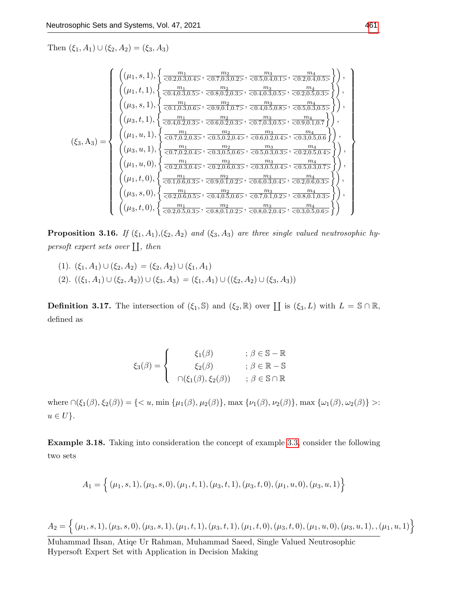Then  $(\xi_1, A_1) \cup (\xi_2, A_2) = (\xi_3, A_3)$ 

$$
\begin{pmatrix}\n(\mu_1, s, 1), \n\begin{Bmatrix}\n\frac{m_1}{\langle 0.2, 0.3, 0.4 \rangle}, \n\frac{m_2}{\langle 0.7, 0.3, 0.2 \rangle}, \n\frac{m_3}{\langle 0.5, 0.4, 0.1 \rangle}, \n\frac{m_4}{\langle 0.2, 0.4, 0.5 \rangle}\n\end{Bmatrix}, \\
(\mu_1, t, 1), \n\begin{Bmatrix}\n\frac{m_1}{\langle 0.4, 0.3, 0.5 \rangle}, \n\frac{m_2}{\langle 0.8, 0.2, 0.3 \rangle}, \n\frac{m_3}{\langle 0.4, 0.3, 0.5 \rangle}, \n\frac{m_4}{\langle 0.2, 0.5, 0.3 \rangle}\n\end{Bmatrix}, \\
(\mu_3, s, 1), \n\begin{Bmatrix}\n\frac{m_1}{\langle 0.1, 0.3, 0.6 \rangle}, \n\frac{m_2}{\langle 0.9, 0.1, 0.7 \rangle}, \n\frac{m_3}{\langle 0.4, 0.5, 0.8 \rangle}, \n\frac{m_4}{\langle 0.5, 0.3, 0.5 \rangle}, \n\frac{m_4}{\langle 0.5, 0.3, 0.5 \rangle}\n\end{Bmatrix}, \\
(\mu_3, t, 1), \n\begin{Bmatrix}\n\frac{m_1}{\langle 0.4, 0.2, 0.3 \rangle}, \n\frac{m_2}{\langle 0.6, 0.2, 0.3 \rangle}, \n\frac{m_3}{\langle 0.7, 0.2, 0.4 \rangle}, \n\frac{m_3}{\langle 0.7, 0.2, 0.4 \rangle}, \n\frac{m_3}{\langle 0.7, 0.2, 0.4 \rangle}, \n\frac{m_3}{\langle 0.5, 0.2, 0.4 \rangle}, \n\frac{m_4}{\langle 0.3, 0.5, 0.5 \rangle}, \n\frac{m_4}{\langle 0.3, 0.5, 0.4 \rangle}, \n\frac{m_4}{\langle 0.3, 0.5, 0.5 \rangle}, \n\frac{m_4}{\langle 0.3, 0.5, 0.5 \rangle}, \n\frac{m_4}{\langle 0.3,
$$

**Proposition 3.16.** If  $(\xi_1, A_1), (\xi_2, A_2)$  and  $(\xi_3, A_3)$  are three single valued neutrosophic hypersoft expert sets over  $\prod,$  then

(1).  $(\xi_1, A_1) \cup (\xi_2, A_2) = (\xi_2, A_2) \cup (\xi_1, A_1)$ (2).  $((\xi_1, A_1) \cup (\xi_2, A_2)) \cup (\xi_3, A_3) = (\xi_1, A_1) \cup ((\xi_2, A_2) \cup (\xi_3, A_3))$ 

**Definition 3.17.** The intersection of  $(\xi_1, \mathbb{S})$  and  $(\xi_2, \mathbb{R})$  over  $\coprod$  is  $(\xi_3, L)$  with  $L = \mathbb{S} \cap \mathbb{R}$ , defined as

$$
\xi_3(\beta) = \begin{cases}\n\xi_1(\beta) & ; \beta \in \mathbb{S} - \mathbb{R} \\
\xi_2(\beta) & ; \beta \in \mathbb{R} - \mathbb{S} \\
\bigcap(\xi_1(\beta), \xi_2(\beta)) & ; \beta \in \mathbb{S} \cap \mathbb{R}\n\end{cases}
$$

where  $\cap(\xi_1(\beta), \xi_2(\beta)) = \{ \langle u, \min \{ \mu_1(\beta), \mu_2(\beta) \}, \max \{ \nu_1(\beta), \nu_2(\beta) \}, \max \{ \omega_1(\beta), \omega_2(\beta) \} \rangle$ :  $u \in U$ .

Example 3.18. Taking into consideration the concept of example [3.3,](#page-3-1) consider the following two sets

$$
A_1 = \{ (\mu_1, s, 1), (\mu_3, s, 0), (\mu_1, t, 1), (\mu_3, t, 1), (\mu_3, t, 0), (\mu_1, u, 0), (\mu_3, u, 1) \}
$$

$$
A_2 = \{ (\mu_1, s, 1), (\mu_3, s, 0), (\mu_3, s, 1), (\mu_1, t, 1), (\mu_3, t, 1), (\mu_1, t, 0), (\mu_3, t, 0), (\mu_1, u, 0), (\mu_3, u, 1), , (\mu_1, u, 1) \}
$$

Muhammad Ihsan, Atiqe Ur Rahman, Muhammad Saeed, Single Valued Neutrosophic Hypersoft Expert Set with Application in Decision Making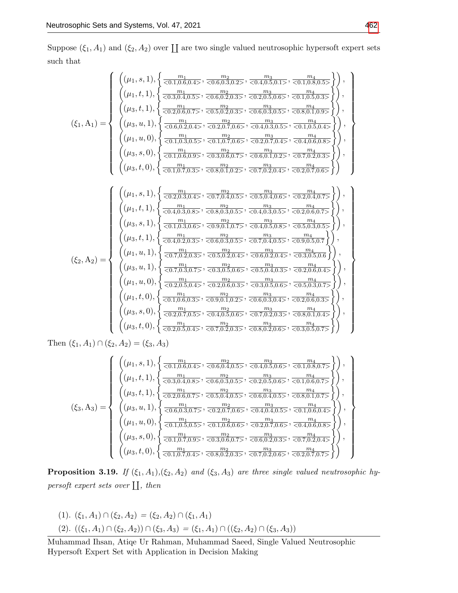Suppose  $(\xi_1, A_1)$  and  $(\xi_2, A_2)$  over  $\coprod$  are two single valued neutrosophic hypersoft expert sets such that

$$
\left(\left(\mu_{1},s,1\right),\left\{\frac{m_{1}}{<0.1,0,0,0.5>,\frac{m_{2}}{<0.5,0.3,0.5>,\frac{m_{2}}{<0.5,0.5,0.5,0.5,0.5,0.5}}\right),\right\}
$$
\n
$$
\left(\xi_{1},A_{1}\right)=\left\{\begin{array}{l} \left(\mu_{1},t,1\right),\left\{\frac{m_{1}}{<0.2,0.6,0.7>},\frac{m_{2}}{<0.5,0.2,0.5,0.5},\frac{m_{3}}{<0.6,0.3,0.5,0.5},\frac{m_{4}}{<0.1,0.5,0.5}\right),\right\} \\\left(\mu_{3},t,1\right),\left\{\frac{m_{1}}{<0.2,0.6,0.7>},\frac{m_{2}}{<0.2,0.5,0.2,0.5},\frac{m_{3}}{<0.6,0.3,0.5,>,\frac{m_{4}}{<0.6,0.1,0.5,0.5}}\right),\right\} \\\left(\mu_{4},u,1\right),\left\{\frac{m_{1}}{<0.6,0.2,0.4>},\frac{m_{2}}{<0.2,0.7,0.6>},\frac{m_{3}}{<0.4,0.3,0.5,},\frac{m_{4}}{<0.1,0.5,0.4,0.5}\right)\right\},\right\}
$$
\n
$$
\left(\left(\mu_{1},u,0\right),\left\{\frac{m_{1}}{<0.1,0.3,0.5,},\frac{m_{2}}{<0.1,0.7,0.3,},\frac{m_{3}}{<0.3,0.6,0.7,0.5},\frac{m_{3}}{<0.4,0.3,0.5},\frac{m_{4}}{<0.4,0.6,0.8,5}\right)\right\},\right\}
$$
\n
$$
\left(\left(\mu_{1},s,1\right),\left\{\frac{m_{1}}{<0.4,0.6,0.5,},\frac{m_{2}}{<0.3,0.4,0.5,},\frac{m_{3}}{<0.5,0.1,0.2,0.4},\frac{m_{4}}{<0.2,0.5,0.4,0.5},\frac{m_{4}}{<0.
$$

Then  $(\xi_1, A_1) \cap (\xi_2, A_2) = (\xi_3, A_3)$ 

$$
\left(\xi_3, A_3\right) = \begin{cases}\n\left((\mu_1, s, 1), \left\{\frac{m_1}{<0.1, 0.6, 0.4>}, \frac{m_2}{<0.6, 0.4, 0.5>}, \frac{m_3}{<0.4, 0.5, 0.6>}, \frac{m_4}{<0.1, 0.8, 0.7>}\right)\right), \\
\left((\mu_1, t, 1), \left\{\frac{m_1}{<0.3, 0.4, 0.8>}, \frac{m_2}{<0.6, 0.3, 0.5>}, \frac{m_3}{<0.2, 0.5, 0.6>}, \frac{m_4}{<0.1, 0.6, 0.7>}\right)\right), \\
\left((\mu_3, t, 1), \left\{\frac{m_1}{<0.2, 0.6, 0.7>}, \frac{m_2}{<0.5, 0.4, 0.5>}, \frac{m_3}{<0.6, 0.4, 0.5>}, \frac{m_4}{<0.8, 0.1, 0.7>}\right\}\right), \\
\left((\mu_3, u, 1), \left\{\frac{m_1}{<0.6, 0.3, 0.7>}, \frac{m_2}{<0.2, 0.7, 0.6>}, \frac{m_3}{<0.4, 0.4, 0.5>}, \frac{m_4}{<0.1, 0.6, 0.4>}\right\}\right), \\
\left((\mu_1, u, 0), \left\{\frac{m_1}{<0.1, 0.5, 0.5>}, \frac{m_2}{<0.1, 0.6, 0.6>}, \frac{m_3}{<0.2, 0.7, 0.6>}, \frac{m_4}{<0.4, 0.6, 0.8>}\right\}\right), \\
\left((\mu_3, s, 0), \left\{\frac{m_1}{<0.1, 0.7, 0.9>}, \frac{m_2}{<0.3, 0.6, 0.7>}, \frac{m_3}{<0.6, 0.2, 0.3>}, \frac{m_4}{<0.7, 0.2, 0.4>}\right\}\right),\n\end{cases}\right\}
$$

**Proposition 3.19.** If  $(\xi_1, A_1), (\xi_2, A_2)$  and  $(\xi_3, A_3)$  are three single valued neutrosophic hypersoft expert sets over  $\prod,$  then

(1).  $(\xi_1, A_1) \cap (\xi_2, A_2) = (\xi_2, A_2) \cap (\xi_1, A_1)$ (2).  $((\xi_1, A_1) \cap (\xi_2, A_2)) \cap (\xi_3, A_3) = (\xi_1, A_1) \cap ((\xi_2, A_2) \cap (\xi_3, A_3))$ 

Muhammad Ihsan, Atiqe Ur Rahman, Muhammad Saeed, Single Valued Neutrosophic Hypersoft Expert Set with Application in Decision Making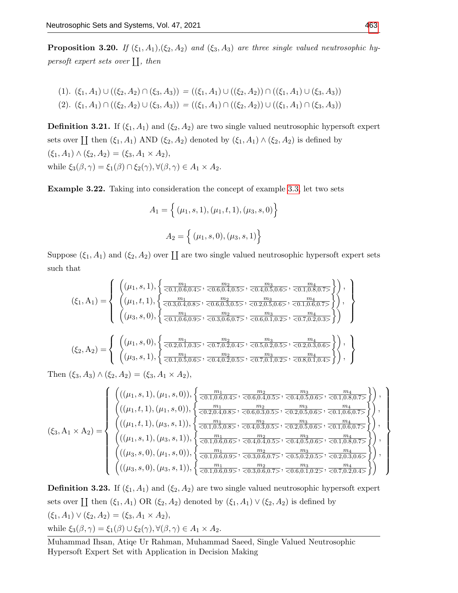**Proposition 3.20.** If  $(\xi_1, A_1), (\xi_2, A_2)$  and  $(\xi_3, A_3)$  are three single valued neutrosophic hypersoft expert sets over  $\prod,$  then

$$
(1). \ (\xi_1, A_1) \cup ((\xi_2, A_2) \cap (\xi_3, A_3)) = ((\xi_1, A_1) \cup ((\xi_2, A_2)) \cap ((\xi_1, A_1) \cup (\xi_3, A_3))
$$
  

$$
(2). \ (\xi_1, A_1) \cap ((\xi_2, A_2) \cup (\xi_3, A_3)) = ((\xi_1, A_1) \cap ((\xi_2, A_2)) \cup ((\xi_1, A_1) \cap (\xi_3, A_3))
$$

**Definition 3.21.** If  $(\xi_1, A_1)$  and  $(\xi_2, A_2)$  are two single valued neutrosophic hypersoft expert sets over  $\coprod$  then  $(\xi_1, A_1)$  AND  $(\xi_2, A_2)$  denoted by  $(\xi_1, A_1) \wedge (\xi_2, A_2)$  is defined by  $(\xi_1, A_1) \wedge (\xi_2, A_2) = (\xi_3, A_1 \times A_2),$ while  $\xi_3(\beta, \gamma) = \xi_1(\beta) \cap \xi_2(\gamma), \forall (\beta, \gamma) \in A_1 \times A_2$ .

Example 3.22. Taking into consideration the concept of example [3.3,](#page-3-1) let two sets

$$
A_1 = \left\{ (\mu_1, s, 1), (\mu_1, t, 1), (\mu_3, s, 0) \right\}
$$

$$
A_2 = \left\{ (\mu_1, s, 0), (\mu_3, s, 1) \right\}
$$

Suppose  $(\xi_1, A_1)$  and  $(\xi_2, A_2)$  over  $\coprod$  are two single valued neutrosophic hypersoft expert sets such that

$$
(\xi_1, A_1) = \begin{Bmatrix} \left( (\mu_1, s, 1), \left\{ \frac{m_1}{<0.1, 0.6, 0.4>}, \frac{m_2}{<0.6, 0.4, 0.5>}, \frac{m_3}{<0.4, 0.5, 0.6>}, \frac{m_4}{<0.1, 0.8, 0.7>} \right\} \right), \\ \left( (\mu_1, t, 1), \left\{ \frac{m_1}{<0.3, 0.4, 0.8>}, \frac{m_2}{<0.6, 0.3, 0.5>}, \frac{m_3}{<0.2, 0.5, 0.6>}, \frac{m_4}{<0.1, 0.6, 0.7>} \right\} \right), \\ \left( (\mu_3, s, 0), \left\{ \frac{m_1}{<0.1, 0.6, 0.9>}, \frac{m_2}{<0.3, 0.6, 0.7>} , \frac{m_3}{<0.6, 0.1, 0.2>}, \frac{m_3}{<0.7, 0.2, 0.3>} \right\} \right) \end{Bmatrix}
$$

$$
(\xi_2, A_2) = \begin{Bmatrix} \left( (\mu_1, s, 0), \left\{ \frac{m_1}{<0.2, 0.1, 0.8>}, \frac{m_2}{<0.7, 0.2, 0.4>}, \frac{m_3}{<0.5, 0.2, 0.5>} , \frac{m_4}{<0.7, 0.2, 0.3, 0.6>} \right\} \right), \\ \left( (\mu_3, s, 1), \left\{ \frac{m_1}{<0.1, 0.5, 0.6>}, \frac{m_2}{<0.4, 0.2, 0.5>} , \frac{m_3}{<0.7, 0.1, 0.2>}, \frac{m_4}{<0.8, 0.1, 0.4>} \right\} \right), \end{Bmatrix}
$$

Then  $(\xi_3, A_3) \wedge (\xi_2, A_2) = (\xi_3, A_1 \times A_2),$ 

$$
\left(\xi_3, A_1 \times A_2\right) = \begin{Bmatrix}\n\left(((\mu_1, s, 1), (\mu_1, s, 0)), \left\{\frac{m_1}{<0.1, 0.6, 0.4>}, \frac{m_2}{<0.6, 0.4, 0.5>}, \frac{m_3}{<0.4, 0.5, 0.6>}, \frac{m_4}{<0.1, 0.8, 0.7>}\right\}, \\
\left(((\mu_1, t, 1), (\mu_1, s, 0)), \left\{\frac{m_1}{<0.2, 0.4, 0.8>}, \frac{m_2}{<0.6, 0.3, 0.5>}, \frac{m_3}{<0.2, 0.5, 0.6>}, \frac{m_4}{<0.1, 0.6, 0.7>}\right\}\right), \\
\left(((\mu_1, t, 1), (\mu_3, s, 1)), \left\{\frac{m_1}{<0.1, 0.5, 0.8>}, \frac{m_2}{<0.4, 0.3, 0.5>}, \frac{m_3}{<0.2, 0.5, 0.6>}, \frac{m_4}{<0.1, 0.6, 0.7>}\right\}\right), \\
\left(((\mu_1, s, 1), (\mu_3, s, 1)), \left\{\frac{m_1}{<0.1, 0.6, 0.6>}, \frac{m_2}{<0.4, 0.4, 0.4, 0.5>}, \frac{m_3}{<0.4, 0.5, 0.6>}, \frac{m_4}{<0.1, 0.8, 0.7>}\right\}\right), \\
\left(((\mu_3, s, 0), (\mu_1, s, 0)), \left\{\frac{m_1}{<0.1, 0.6, 0.9>}, \frac{m_2}{<0.3, 0.6, 0.7>}, \frac{m_3}{<0.5, 0.2, 0.5, 0.5, 0.5, \frac{m_4}{<0.1, 0.8, 0.7>}\right\}\right), \\
\left(((\mu_3, s, 0), (\mu_3, s, 1)), \left\{\frac{m_1}{<0.1, 0.6, 0.9>}, \frac{m_2}{<0.3, 0.6, 0.7>}, \frac{m_3}{<0.5, 0.2, 0.5, 0.5, 0.
$$

**Definition 3.23.** If  $(\xi_1, A_1)$  and  $(\xi_2, A_2)$  are two single valued neutrosophic hypersoft expert sets over  $\coprod$  then  $(\xi_1, A_1)$  OR  $(\xi_2, A_2)$  denoted by  $(\xi_1, A_1) \vee (\xi_2, A_2)$  is defined by  $(\xi_1, A_1) \vee (\xi_2, A_2) = (\xi_3, A_1 \times A_2),$ while  $\xi_3(\beta, \gamma) = \xi_1(\beta) \cup \xi_2(\gamma), \forall (\beta, \gamma) \in A_1 \times A_2.$ 

Muhammad Ihsan, Atiqe Ur Rahman, Muhammad Saeed, Single Valued Neutrosophic Hypersoft Expert Set with Application in Decision Making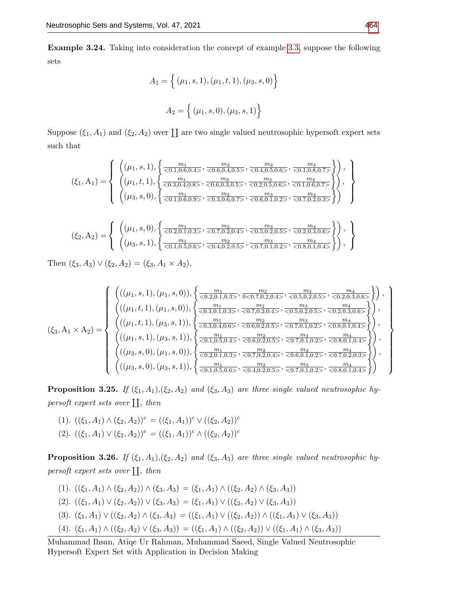Example 3.24. Taking into consideration the concept of example [3.3,](#page-3-1) suppose the following sets

$$
A_1 = \left\{ (\mu_1, s, 1), (\mu_1, t, 1), (\mu_3, s, 0) \right\}
$$

$$
A_2 = \left\{ (\mu_1, s, 0), (\mu_3, s, 1) \right\}
$$

Suppose  $(\xi_1, A_1)$  and  $(\xi_2, A_2)$  over  $\coprod$  are two single valued neutrosophic hypersoft expert sets such that

$$
(\xi_1, A_1) = \left\{ \begin{array}{l} \left( (\mu_1, s, 1), \left\{ \frac{m_1}{<0.1, 0.6, 0.4>}, \frac{m_2}{<0.6, 0.4, 0.5>}, \frac{m_3}{<0.4, 0.5, 0.6>}, \frac{m_4}{<0.1, 0.8, 0.7>} \right\} \right), \\ \left( (\mu_1, t, 1), \left\{ \frac{m_1}{<0.3, 0.4, 0.8>}, \frac{m_2}{<0.6, 0.3, 0.5>}, \frac{m_3}{<0.2, 0.5, 0.6>}, \frac{m_4}{<0.1, 0.6, 0.7>} \right\} \right), \\ \left( (\mu_3, s, 0), \left\{ \frac{m_1}{<0.1, 0.6, 0.9>}, \frac{m_2}{<0.3, 0.6, 0.7>} , \frac{m_3}{<0.6, 0.1, 0.2>}, \frac{m_4}{<0.7, 0.2, 0.3>} \right\} \right) \end{array} \right\}
$$

$$
(\xi_2, A_2) = \left\{ \begin{array}{c} \left( (\mu_1, s, 0), \left\{ \frac{m_1}{<0.2, 0.1, 0.3>}, \frac{m_2}{<0.7, 0.2, 0.4>}, \frac{m_3}{<0.5, 0.2, 0.5>}, \frac{m_4}{<0.2, 0.3, 0.6>} \right\} \right), \\ \left( (\mu_3, s, 1), \left\{ \frac{m_1}{<0.1, 0.5, 0.6>}, \frac{m_2}{<0.4, 0.2, 0.5>}, \frac{m_3}{<0.7, 0.1, 0.2>}, \frac{m_4}{<0.8, 0.1, 0.4>} \right\} \right), \end{array} \right\}
$$

Then  $(\xi_3, A_3) \vee (\xi_2, A_2) = (\xi_3, A_1 \times A_2),$ 

$$
\left(\xi_3, A_1 \times A_2\right) = \begin{Bmatrix}\n\left(((\mu_1, s, 1), (\mu_1, s, 0)), \left\{\frac{m_1}{<0.2, 0.1, 0.3>}, \frac{m_2}{0<0.7, 0.2, 0.4>}, \frac{m_3}{<0.5, 0.2, 0.5>}, \frac{m_4}{<0.2, 0.3, 0.6>}\right\}\right), \\
\left(((\mu_1, t, 1), (\mu_1, s, 0)), \left\{\frac{m_1}{<0.3, 0.1, 0.3>}, \frac{m_2}{<0.7, 0.2, 0.4>}, \frac{m_3}{<0.5, 0.2, 0.5>}, \frac{m_4}{<0.2, 0.3, 0.6>}\right\}\right), \\
\left(((\mu_1, t, 1), (\mu_3, s, 1)), \left\{\frac{m_1}{<0.3, 0.4, 0.6>}, \frac{m_2}{<0.6, 0.2, 0.5>}, \frac{m_3}{<0.7, 0.1, 0.2>}, \frac{m_4}{<0.8, 0.1, 0.4>}\right\}\right), \\
\left(((\mu_1, s, 1), (\mu_3, s, 1)), \left\{\frac{m_1}{<0.1, 0.5, 0.4>}, \frac{m_2}{<0.6, 0.2, 0.5>}, \frac{m_3}{<0.7, 0.1, 0.2>}, \frac{m_4}{<0.8, 0.1, 0.4>}\right\}\right), \\
\left(((\mu_3, s, 0), (\mu_1, s, 0)), \left\{\frac{m_1}{<0.2, 0.1, 0.3>}, \frac{m_2}{<0.7, 0.2, 0.4>}, \frac{m_3}{<0.6, 0.1, 0.2>}, \frac{m_3}{<0.7, 0.2, 0.3>}\right\}\right), \\
\left(((\mu_3, s, 0), (\mu_3, s, 1)), \left\{\frac{m_1}{<0.1, 0.5, 0.6>}, \frac{m_2}{<0.4, 0.2, 0.5>}, \frac{m_3}{<0.7, 0.1, 0.2>}, \frac{m_4}{<0.7, 0.2,
$$

**Proposition 3.25.** If  $(\xi_1, A_1), (\xi_2, A_2)$  and  $(\xi_3, A_3)$  are three single valued neutrosophic hypersoft expert sets over  $\prod,$  then

(1).  $((\xi_1, A_1) \wedge (\xi_2, A_2))^c = ((\xi_1, A_1))^c \vee ((\xi_2, A_2))^c$ (2).  $((\xi_1, A_1) \vee (\xi_2, A_2))^c = ((\xi_1, A_1))^c \wedge ((\xi_2, A_2))^c$ 

**Proposition 3.26.** If  $(\xi_1, A_1), (\xi_2, A_2)$  and  $(\xi_3, A_3)$  are three single valued neutrosophic hypersoft expert sets over  $\prod,$  then

(1).  $((\xi_1, A_1) \wedge (\xi_2, A_2)) \wedge (\xi_3, A_3) = (\xi_1, A_1) \wedge ((\xi_2, A_2) \wedge (\xi_3, A_3))$ (2).  $((\xi_1, A_1) \vee (\xi_2, A_2)) \vee (\xi_3, A_3) = (\xi_1, A_1) \vee ((\xi_2, A_2) \vee (\xi_3, A_3))$ (3).  $(\xi_1, A_1) \vee ((\xi_2, A_2) \wedge (\xi_3, A_3) = ((\xi_1, A_1) \vee ((\xi_2, A_2)) \wedge ((\xi_1, A_1) \vee (\xi_3, A_3))$ (4).  $(\xi_1, A_1) \wedge ((\xi_2, A_2) \vee (\xi_3, A_3)) = ((\xi_1, A_1) \wedge ((\xi_2, A_2)) \vee ((\xi_1, A_1) \wedge (\xi_3, A_3))$ 

Muhammad Ihsan, Atiqe Ur Rahman, Muhammad Saeed, Single Valued Neutrosophic Hypersoft Expert Set with Application in Decision Making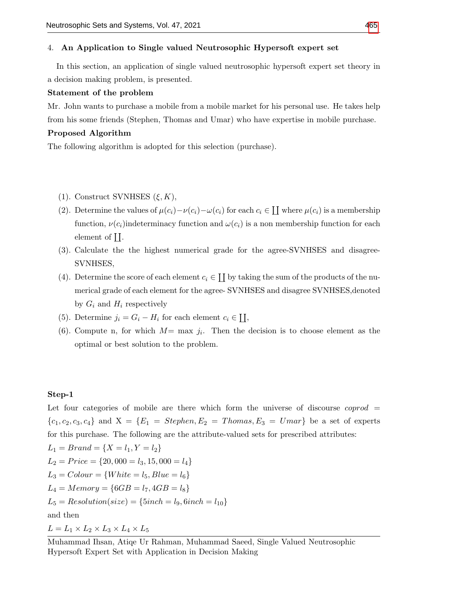#### 4. An Application to Single valued Neutrosophic Hypersoft expert set

In this section, an application of single valued neutrosophic hypersoft expert set theory in a decision making problem, is presented.

#### Statement of the problem

Mr. John wants to purchase a mobile from a mobile market for his personal use. He takes help from his some friends (Stephen, Thomas and Umar) who have expertise in mobile purchase.

#### Proposed Algorithm

The following algorithm is adopted for this selection (purchase).

- (1). Construct SVNHSES  $(\xi, K)$ ,
- (2). Determine the values of  $\mu(c_i) \nu(c_i) \omega(c_i)$  for each  $c_i \in \prod$  where  $\mu(c_i)$  is a membership function,  $\nu(c_i)$  indeterminacy function and  $\omega(c_i)$  is a non membership function for each element of  $\prod$ .
- (3). Calculate the the highest numerical grade for the agree-SVNHSES and disagree-SVNHSES,
- (4). Determine the score of each element  $c_i \in \coprod$  by taking the sum of the products of the numerical grade of each element for the agree- SVNHSES and disagree SVNHSES,denoted by  $G_i$  and  $H_i$  respectively
- (5). Determine  $j_i = G_i H_i$  for each element  $c_i \in \coprod$ ,
- (6). Compute n, for which  $M=$  max  $j_i$ . Then the decision is to choose element as the optimal or best solution to the problem.

#### Step-1

Let four categories of mobile are there which form the universe of discourse  $coprod =$  ${c_1, c_2, c_3, c_4}$  and  $X = {E_1 = Stephen, E_2 = Thomas, E_3 = Umar}$  be a set of experts for this purchase. The following are the attribute-valued sets for prescribed attributes:

 $L_1 = Brand = \{X = l_1, Y = l_2\}$  $L_2 = Price = \{20,000 = l_3, 15, 000 = l_4\}$  $L_3 = Color = \{White = l_5, Blue = l_6\}$  $L_4 = Memory = \{6GB = l_7, 4GB = l_8\}$  $L_5 = Resolution(size) = {5inch = l_9, 6inch = l_{10}}$ and then

 $L = L_1 \times L_2 \times L_3 \times L_4 \times L_5$ 

Muhammad Ihsan, Atiqe Ur Rahman, Muhammad Saeed, Single Valued Neutrosophic Hypersoft Expert Set with Application in Decision Making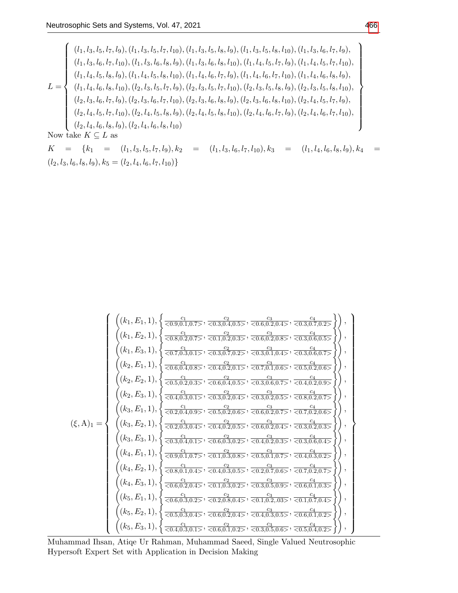$$
L = \left\{\n\begin{array}{l}\n(l_1, l_3, l_5, l_7, l_9), (l_1, l_3, l_5, l_7, l_{10}), (l_1, l_3, l_5, l_8, l_9), (l_1, l_3, l_5, l_8, l_{10}), (l_1, l_3, l_6, l_7, l_9), \\
(l_1, l_3, l_6, l_7, l_{10}), (l_1, l_3, l_6, l_8, l_9), (l_1, l_3, l_6, l_8, l_{10}), (l_1, l_4, l_5, l_7, l_9), (l_1, l_4, l_5, l_7, l_{10}), \\
(l_1, l_4, l_5, l_8, l_9), (l_1, l_4, l_5, l_8, l_{10}), (l_1, l_4, l_6, l_7, l_9), (l_1, l_4, l_6, l_7, l_{10}), (l_1, l_4, l_6, l_8, l_9), \\
(l_1, l_4, l_6, l_8, l_{10}), (l_2, l_3, l_5, l_7, l_9), (l_2, l_3, l_5, l_7, l_{10}), (l_2, l_3, l_5, l_8, l_9), (l_2, l_3, l_5, l_8, l_{10}), \\
(l_2, l_3, l_6, l_7, l_9), (l_2, l_3, l_6, l_7, l_{10}), (l_2, l_3, l_6, l_8, l_9), (l_2, l_3, l_6, l_8, l_{10}), (l_2, l_4, l_5, l_7, l_{10}), \\
(l_2, l_4, l_5, l_7, l_{10}), (l_2, l_4, l_5, l_8, l_9), (l_2, l_4, l_5, l_8, l_{10}), (l_2, l_4, l_6, l_7, l_9), (l_2, l_4, l_6, l_7, l_{10}), \\
(l_2, l_4, l_6, l_8, l_9), (l_2, l_4, l_6, l_8, l_{10})\n\end{array}\n\right\}
$$

 $\begin{array}{lllllll} K & = & \{k_1 & = & (l_1, l_3, l_5, l_7, l_9), k_2 & = & (l_1, l_3, l_6, l_7, l_{10}), k_3 & = & (l_1, l_4, l_6, l_8, l_9), k_4 & = & \end{array}$  $(l_2, l_3, l_6, l_8, l_9), k_5 = (l_2, l_4, l_6, l_7, l_{10})\}$ 

$$
\begin{pmatrix}\n\left( (k_1, E_1, 1), \left\{ \frac{c_1}{<0.9, 0.1, 0.7>} , \frac{c_2}{<0.3, 0.4, 0.5>} , \frac{c_3}{<0.6, 0.2, 0.4>} , \frac{c_4}{<0.3, 0.7, 0.2>} \right\} \right), \\
\left( (k_1, E_2, 1), \left\{ \frac{c_1}{<0.6, 0.2, 0.7>} , \frac{c_2}{<0.1, 0.2, 0.3>} , \frac{c_3}{<0.6, 0.2, 0.8>} , \frac{c_4}{<0.3, 0.6, 0.5>} \right\} \right), \\
\left( (k_2, E_1, 1), \left\{ \frac{c_1}{<0.6, 0.4, 0.8>} , \frac{c_2}{<0.3, 0.7, 0.2>} , \frac{c_3}{<0.3, 0.1, 0.4>} , \frac{c_1}{<0.3, 0.6, 0.7>} \right\} \right), \\
\left( (k_2, E_1, 1), \left\{ \frac{c_1}{<0.6, 0.4, 0.8>} , \frac{c_2}{<0.4, 0.2, 0.1>} , \frac{c_3}{<0.7, 0.1, 0.6>} , \frac{c_4}{<0.5, 0.2, 0.8>} \right\} \right), \\
\left( (k_2, E_2, 1), \left\{ \frac{c_1}{<0.5, 0.2, 0.3>} , \frac{c_2}{<0.6, 0.4, 0.5>} , \frac{c_3}{<0.3, 0.6, 0.7>} , \frac{c_4}{<0.4, 0.2, 0.9>} \right\} \right), \\
\left( (k_3, E_1, 1), \left\{ \frac{c_1}{<0.2, 0.3, 0.4>} , \frac{c_2}{<0.3, 0.2, 0.5>} , \frac{c_3}{<0.3, 0.2, 0.5>} , \frac{c_4}{<0.4, 0.2, 0.5>} \right\} \right), \\
\left( (k_3, E_2, 1), \left\{ \frac{c_1}{<0.2, 0.3, 0.4>} , \frac{
$$

Muhammad Ihsan, Atiqe Ur Rahman, Muhammad Saeed, Single Valued Neutrosophic Hypersoft Expert Set with Application in Decision Making

 $\mathcal{L}$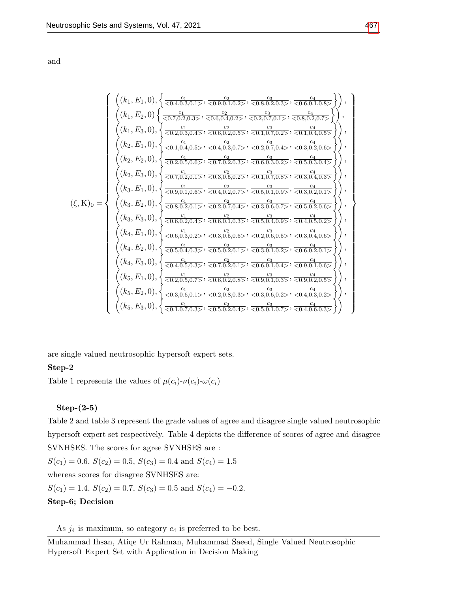and

$$
\begin{pmatrix}\n\left( (k_1, E_1, 0), \left\{ \frac{c_1}{<0.4, 0.3, 0.1>} , \frac{c_2}{<0.9, 0.1, 0.2>} , \frac{c_3}{<0.8, 0.2, 0.3>} , \frac{c_4}{<0.6, 0.1, 0.8>} \right\} \right), \\
\left( (k_1, E_2, 0) \left\{ \frac{c_1}{<0.7, 0.2, 0.3>} , \frac{c_2}{<0.6, 0.4, 0.2>} , \frac{c_3}{<0.2, 0.7, 0.1>} , \frac{c_4}{<0.8, 0.2, 0.7>} \right\} \right), \\
\left( (k_2, E_1, 0), \left\{ \frac{c_1}{<0.1, 0.4, 0.5>} , \frac{c_2}{<0.4, 0.3, 0.7>} , \frac{c_3}{<0.2, 0.7, 0.4>} , \frac{c_4}{<0.3, 0.2, 0.6>} \right\} \right), \\
\left( (k_2, E_1, 0), \left\{ \frac{c_1}{<0.1, 0.4, 0.5>} , \frac{c_2}{<0.7, 0.2, 0.3>} , \frac{c_3}{<0.2, 0.7, 0.4>} , \frac{c_4}{<0.3, 0.2, 0.6>} \right\} \right), \\
\left( (k_2, E_2, 0), \left\{ \frac{c_1}{<0.7, 0.2, 0.1>} , \frac{c_2}{<0.3, 0.2, 0.2>} , \frac{c_3}{<0.1, 0.7, 0.8>} , \frac{c_4}{<0.5, 0.3, 0.4} \right\} \right), \\
\left( (k_3, E_1, 0), \left\{ \frac{c_1}{<0.9, 0.1, 0.6>} , \frac{c_2}{<0.4, 0.2, 0.7>} , \frac{c_3}{<0.5, 0.1, 0.9>} , \frac{c_3}{<0.3, 0.4, 0.3>} \right\} \right), \\
\left( (k_3, E_2, 0), \left\{ \frac{c_1}{<0.6, 0.2, 0.1>} , \frac{
$$

are single valued neutrosophic hypersoft expert sets.

# Step-2

Table 1 represents the values of  $\mu(c_i)$ - $\nu(c_i)$ - $\omega(c_i)$ 

### Step-(2-5)

Table 2 and table 3 represent the grade values of agree and disagree single valued neutrosophic hypersoft expert set respectively. Table 4 depicts the difference of scores of agree and disagree SVNHSES. The scores for agree SVNHSES are :  $S(c_1) = 0.6, S(c_2) = 0.5, S(c_3) = 0.4$  and  $S(c_4) = 1.5$ whereas scores for disagree SVNHSES are:  $S(c_1) = 1.4, S(c_2) = 0.7, S(c_3) = 0.5 \text{ and } S(c_4) = -0.2.$ Step-6; Decision

As  $j_4$  is maximum, so category  $c_4$  is preferred to be best.

Muhammad Ihsan, Atiqe Ur Rahman, Muhammad Saeed, Single Valued Neutrosophic Hypersoft Expert Set with Application in Decision Making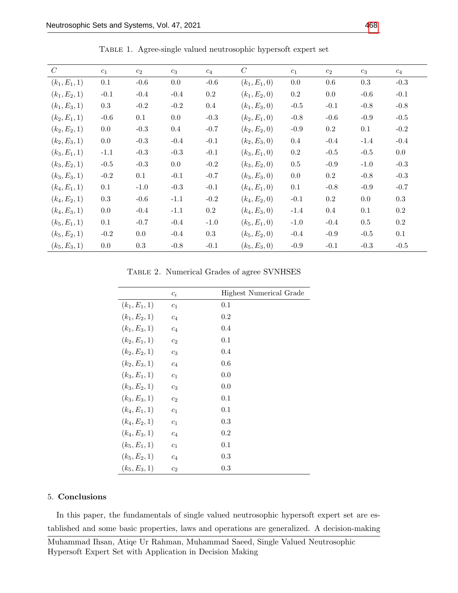| $\overline{C}$  | $c_1$   | $c_2$  | $c_3$   | $c_4$     | $\mathcal C$    | $c_1$   | $c_2$   | $c_3$   | $c_4$   |
|-----------------|---------|--------|---------|-----------|-----------------|---------|---------|---------|---------|
| $(k_1, E_1, 1)$ | 0.1     | $-0.6$ | $0.0\,$ | $-0.6$    | $(k_1, E_1, 0)$ | 0.0     | 0.6     | 0.3     | $-0.3$  |
| $(k_1, E_2, 1)$ | $-0.1$  | $-0.4$ | $-0.4$  | $0.2\,$   | $(k_1, E_2, 0)$ | $0.2\,$ | 0.0     | $-0.6$  | $-0.1$  |
| $(k_1, E_3, 1)$ | $0.3\,$ | $-0.2$ | $-0.2$  | $0.4\,$   | $(k_1, E_3, 0)$ | $-0.5$  | $-0.1$  | $-0.8$  | $-0.8$  |
| $(k_2, E_1, 1)$ | $-0.6$  | 0.1    | 0.0     | $-0.3$    | $(k_2, E_1, 0)$ | $-0.8$  | $-0.6$  | $-0.9$  | $-0.5$  |
| $(k_2, E_2, 1)$ | 0.0     | $-0.3$ | $0.4\,$ | $-0.7$    | $(k_2, E_2, 0)$ | $-0.9$  | $0.2\,$ | 0.1     | $-0.2$  |
| $(k_2, E_3, 1)$ | 0.0     | $-0.3$ | $-0.4$  | $-0.1$    | $(k_2, E_3, 0)$ | $0.4\,$ | $-0.4$  | $-1.4$  | $-0.4$  |
| $(k_3, E_1, 1)$ | $-1.1$  | $-0.3$ | $-0.3$  | $-0.1$    | $(k_3, E_1, 0)$ | $0.2\,$ | $-0.5$  | $-0.5$  | $0.0\,$ |
| $(k_3, E_2, 1)$ | $-0.5$  | $-0.3$ | 0.0     | $-0.2$    | $(k_3, E_2, 0)$ | $0.5\,$ | $-0.9$  | $-1.0$  | $-0.3$  |
| $(k_3, E_3, 1)$ | $-0.2$  | 0.1    | $-0.1$  | $-0.7$    | $(k_3, E_3, 0)$ | 0.0     | $0.2\,$ | $-0.8$  | $-0.3$  |
| $(k_4, E_1, 1)$ | 0.1     | $-1.0$ | $-0.3$  | $-0.1$    | $(k_4, E_1, 0)$ | 0.1     | $-0.8$  | $-0.9$  | $-0.7$  |
| $(k_4, E_2, 1)$ | $0.3\,$ | $-0.6$ | $-1.1$  | $-0.2$    | $(k_4, E_2, 0)$ | $-0.1$  | $0.2\,$ | 0.0     | $0.3\,$ |
| $(k_4, E_3, 1)$ | 0.0     | $-0.4$ | $-1.1$  | $\rm 0.2$ | $(k_4, E_3, 0)$ | $-1.4$  | $0.4\,$ | 0.1     | $0.2\,$ |
| $(k_5, E_1, 1)$ | 0.1     | $-0.7$ | $-0.4$  | $-1.0$    | $(k_5, E_1, 0)$ | $-1.0$  | $-0.4$  | $0.5\,$ | $0.2\,$ |
| $(k_5, E_2, 1)$ | $-0.2$  | 0.0    | $-0.4$  | $\rm 0.3$ | $(k_5, E_2, 0)$ | $-0.4$  | $-0.9$  | $-0.5$  | 0.1     |
| $(k_5, E_3, 1)$ | 0.0     | 0.3    | $-0.8$  | $-0.1$    | $(k_5, E_3, 0)$ | $-0.9$  | $-0.1$  | $-0.3$  | $-0.5$  |

Table 1. Agree-single valued neutrosophic hypersoft expert set

Table 2. Numerical Grades of agree SVNHSES

|                 | $c_i$          | <b>Highest Numerical Grade</b> |
|-----------------|----------------|--------------------------------|
| $(k_1, E_1, 1)$ | c <sub>1</sub> | 0.1                            |
| $(k_1, E_2, 1)$ | $c_4$          | $0.2\,$                        |
| $(k_1, E_3, 1)$ | $c_4$          | 0.4                            |
| $(k_2, E_1, 1)$ | c <sub>2</sub> | 0.1                            |
| $(k_2, E_2, 1)$ | $c_3$          | 0.4                            |
| $(k_2, E_3, 1)$ | $c_4$          | 0.6                            |
| $(k_3, E_1, 1)$ | c <sub>1</sub> | 0.0                            |
| $(k_3, E_2, 1)$ | $c_3$          | 0.0                            |
| $(k_3, E_3, 1)$ | c <sub>2</sub> | 0.1                            |
| $(k_4, E_1, 1)$ | $c_1$          | 0.1                            |
| $(k_4, E_2, 1)$ | c <sub>1</sub> | 0.3                            |
| $(k_4, E_3, 1)$ | $c_4$          | $0.2\,$                        |
| $(k_5, E_1, 1)$ | c <sub>1</sub> | 0.1                            |
| $(k_5, E_2, 1)$ | $c_4$          | 0.3                            |
| $(k_5, E_3, 1)$ | $c_2$          | 0.3                            |

#### 5. Conclusions

In this paper, the fundamentals of single valued neutrosophic hypersoft expert set are established and some basic properties, laws and operations are generalized. A decision-making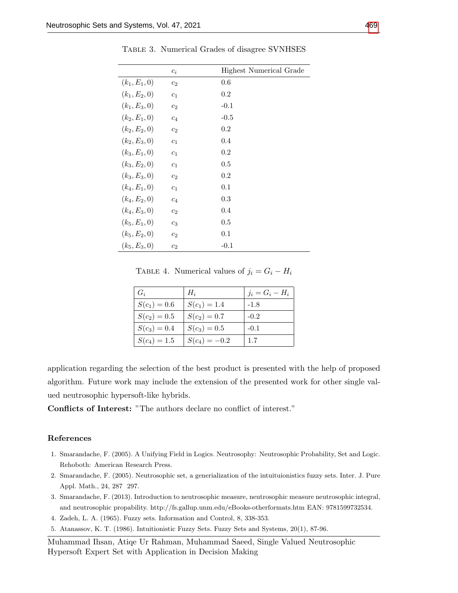|                 | $c_i$          | Highest Numerical Grade |
|-----------------|----------------|-------------------------|
| $(k_1, E_1, 0)$ | c <sub>2</sub> | 0.6                     |
| $(k_1, E_2, 0)$ | c <sub>1</sub> | 0.2                     |
| $(k_1, E_3, 0)$ | c <sub>2</sub> | $-0.1$                  |
| $(k_2, E_1, 0)$ | $c_4$          | $-0.5$                  |
| $(k_2, E_2, 0)$ | c <sub>2</sub> | 0.2                     |
| $(k_2, E_3, 0)$ | c <sub>1</sub> | 0.4                     |
| $(k_3, E_1, 0)$ | c <sub>1</sub> | 0.2                     |
| $(k_3, E_2, 0)$ | c <sub>1</sub> | 0.5                     |
| $(k_3, E_3, 0)$ | c <sub>2</sub> | 0.2                     |
| $(k_4, E_1, 0)$ | c <sub>1</sub> | 0.1                     |
| $(k_4, E_2, 0)$ | $c_4$          | 0.3                     |
| $(k_4, E_3, 0)$ | c <sub>2</sub> | 0.4                     |
| $(k_5, E_1, 0)$ | $c_3$          | 0.5                     |
| $(k_5, E_2, 0)$ | c <sub>2</sub> | 0.1                     |
| $(k_5, E_3, 0)$ | $c_2$          | $-0.1$                  |

Table 3. Numerical Grades of disagree SVNHSES

TABLE 4. Numerical values of  $j_i = G_i - H_i$ 

| $G_i$          | $H_i$           | $i_i = G_i - H_i$ |
|----------------|-----------------|-------------------|
| $S(c_1)=0.6$   | $S(c_1)=1.4$    | $-1.8$            |
| $S(c_2)=0.5$   | $S(c_2)=0.7$    | $-0.2$            |
| $S(c_3)=0.4$   | $S(c_3)=0.5$    | $-0.1$            |
| $S(c_4) = 1.5$ | $S(c_4) = -0.2$ | 1.7               |

application regarding the selection of the best product is presented with the help of proposed algorithm. Future work may include the extension of the presented work for other single valued neutrosophic hypersoft-like hybrids.

Conflicts of Interest: "The authors declare no conflict of interest."

#### References

- <span id="page-18-0"></span>1. Smarandache, F. (2005). A Unifying Field in Logics. Neutrosophy: Neutrosophic Probability, Set and Logic. Rehoboth: American Research Press.
- <span id="page-18-4"></span>2. Smarandache, F. (2005). Neutrosophic set, a generialization of the intuituionistics fuzzy sets. Inter. J. Pure Appl. Math., 24, 287 297.
- <span id="page-18-1"></span>3. Smarandache, F. (2013). Introduction to neutrosophic measure, neutrosophic measure neutrosophic integral, and neutrosophic propability. http://fs.gallup.unm.edu/eBooks-otherformats.htm EAN: 9781599732534.
- <span id="page-18-2"></span>4. Zadeh, L. A. (1965). Fuzzy sets. Information and Control, 8, 338-353.
- <span id="page-18-3"></span>5. Atanassov, K. T. (1986). Intuitionistic Fuzzy Sets. Fuzzy Sets and Systems, 20(1), 87-96.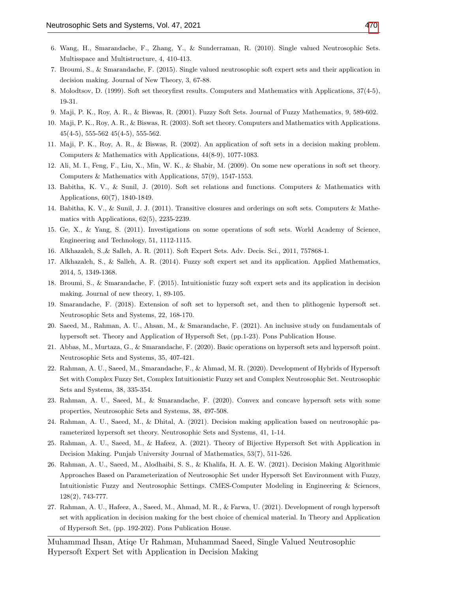- <span id="page-19-0"></span>6. Wang, H., Smarandache, F., Zhang, Y., & Sunderraman, R. (2010). Single valued Neutrosophic Sets. Multisspace and Multistructure, 4, 410-413.
- <span id="page-19-1"></span>7. Broumi, S., & Smarandache, F. (2015). Single valued neutrosophic soft expert sets and their application in decision making. Journal of New Theory, 3, 67-88.
- <span id="page-19-2"></span>8. Molodtsov, D. (1999). Soft set theoryfirst results. Computers and Mathematics with Applications, 37(4-5), 19-31.
- <span id="page-19-3"></span>9. Maji, P. K., Roy, A. R., & Biswas, R. (2001). Fuzzy Soft Sets. Journal of Fuzzy Mathematics, 9, 589-602.
- <span id="page-19-4"></span>10. Maji, P. K., Roy, A. R., & Biswas, R. (2003). Soft set theory. Computers and Mathematics with Applications.  $45(4-5)$ , 555-562  $45(4-5)$ , 555-562.
- 11. Maji, P. K., Roy, A. R., & Biswas, R. (2002). An application of soft sets in a decision making problem. Computers & Mathematics with Applications, 44(8-9), 1077-1083.
- 12. Ali, M. I., Feng, F., Liu, X., Min, W. K., & Shabir, M. (2009). On some new operations in soft set theory. Computers & Mathematics with Applications, 57(9), 1547-1553.
- 13. Babitha, K. V., & Sunil, J. (2010). Soft set relations and functions. Computers & Mathematics with Applications, 60(7), 1840-1849.
- 14. Babitha, K. V., & Sunil, J. J. (2011). Transitive closures and orderings on soft sets. Computers & Mathematics with Applications, 62(5), 2235-2239.
- <span id="page-19-5"></span>15. Ge, X., & Yang, S. (2011). Investigations on some operations of soft sets. World Academy of Science, Engineering and Technology, 51, 1112-1115.
- <span id="page-19-6"></span>16. Alkhazaleh, S.,& Salleh, A. R. (2011). Soft Expert Sets. Adv. Decis. Sci., 2011, 757868-1.
- <span id="page-19-7"></span>17. Alkhazaleh, S., & Salleh, A. R. (2014). Fuzzy soft expert set and its application. Applied Mathematics, 2014, 5, 1349-1368.
- <span id="page-19-8"></span>18. Broumi, S., & Smarandache, F. (2015). Intuitionistic fuzzy soft expert sets and its application in decision making. Journal of new theory, 1, 89-105.
- <span id="page-19-9"></span>19. Smarandache, F. (2018). Extension of soft set to hypersoft set, and then to plithogenic hypersoft set. Neutrosophic Sets and Systems, 22, 168-170.
- <span id="page-19-10"></span>20. Saeed, M., Rahman, A. U., Ahsan, M., & Smarandache, F. (2021). An inclusive study on fundamentals of hypersoft set. Theory and Application of Hypersoft Set, (pp.1-23). Pons Publication House.
- <span id="page-19-11"></span>21. Abbas, M., Murtaza, G., & Smarandache, F. (2020). Basic operations on hypersoft sets and hypersoft point. Neutrosophic Sets and Systems, 35, 407-421.
- <span id="page-19-12"></span>22. Rahman, A. U., Saeed, M., Smarandache, F., & Ahmad, M. R. (2020). Development of Hybrids of Hypersoft Set with Complex Fuzzy Set, Complex Intuitionistic Fuzzy set and Complex Neutrosophic Set. Neutrosophic Sets and Systems, 38, 335-354.
- 23. Rahman, A. U., Saeed, M., & Smarandache, F. (2020). Convex and concave hypersoft sets with some properties, Neutrosophic Sets and Systems, 38, 497-508.
- 24. Rahman, A. U., Saeed, M., & Dhital, A. (2021). Decision making application based on neutrosophic parameterized hypersoft set theory. Neutrosophic Sets and Systems, 41, 1-14.
- 25. Rahman, A. U., Saeed, M., & Hafeez, A. (2021). Theory of Bijective Hypersoft Set with Application in Decision Making. Punjab University Journal of Mathematics, 53(7), 511-526.
- 26. Rahman, A. U., Saeed, M., Alodhaibi, S. S., & Khalifa, H. A. E. W. (2021). Decision Making Algorithmic Approaches Based on Parameterization of Neutrosophic Set under Hypersoft Set Environment with Fuzzy, Intuitionistic Fuzzy and Neutrosophic Settings. CMES-Computer Modeling in Engineering & Sciences, 128(2), 743-777.
- 27. Rahman, A. U., Hafeez, A., Saeed, M., Ahmad, M. R., & Farwa, U. (2021). Development of rough hypersoft set with application in decision making for the best choice of chemical material. In Theory and Application of Hypersoft Set, (pp. 192-202). Pons Publication House.